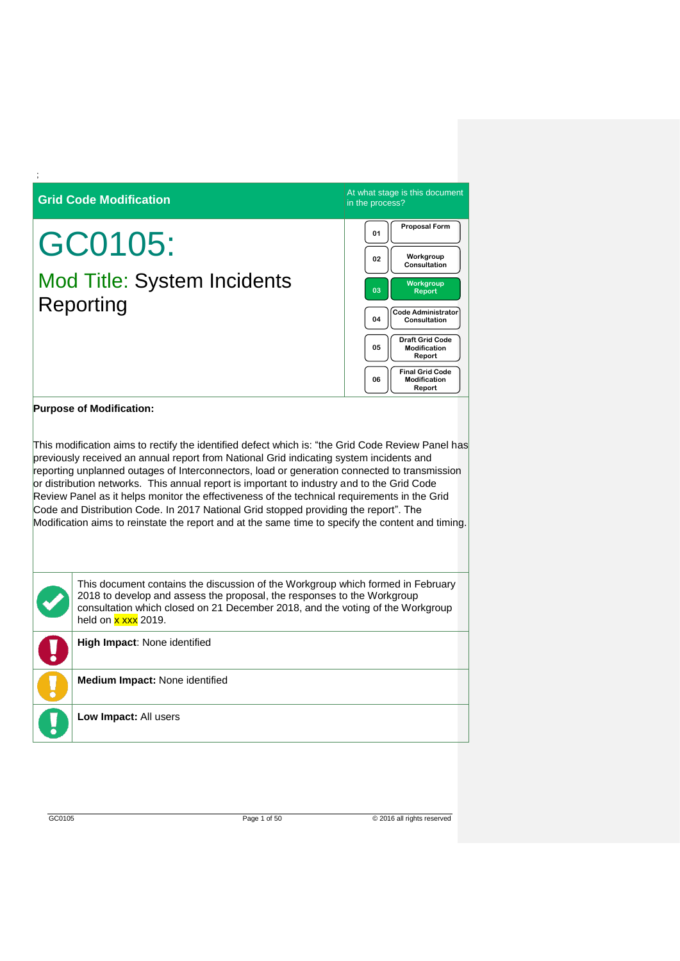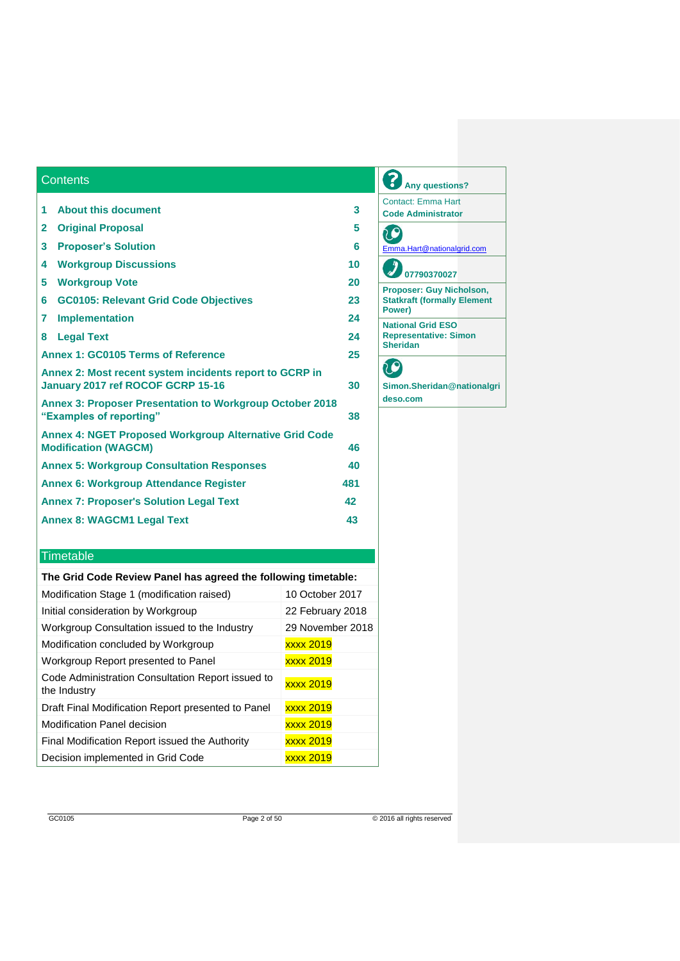| 1                                                                                            | <b>About this document</b>                   | 3  |  |  |
|----------------------------------------------------------------------------------------------|----------------------------------------------|----|--|--|
| $\mathbf{2}$                                                                                 | <b>Original Proposal</b>                     | 5  |  |  |
| 3                                                                                            | <b>Proposer's Solution</b>                   | 6  |  |  |
| 4                                                                                            | <b>Workgroup Discussions</b>                 | 10 |  |  |
| 5                                                                                            | <b>Workgroup Vote</b>                        | 20 |  |  |
| 6                                                                                            | <b>GC0105: Relevant Grid Code Objectives</b> | 23 |  |  |
| 7                                                                                            | <b>Implementation</b>                        | 24 |  |  |
| 8                                                                                            | <b>Legal Text</b>                            | 24 |  |  |
| Annex 1: GC0105 Terms of Reference                                                           |                                              |    |  |  |
| Annex 2: Most recent system incidents report to GCRP in<br>January 2017 ref ROCOF GCRP 15-16 |                                              |    |  |  |
| <b>Annex 3: Proposer Presentation to Workgroup October 2018</b><br>"Examples of reporting"   |                                              |    |  |  |
| <b>Annex 4: NGET Proposed Workgroup Alternative Grid Code</b><br><b>Modification (WAGCM)</b> |                                              |    |  |  |
| <b>Annex 5: Workgroup Consultation Responses</b>                                             |                                              |    |  |  |
| <b>Annex 6: Workgroup Attendance Register</b><br>481                                         |                                              |    |  |  |
| <b>Annex 7: Proposer's Solution Legal Text</b>                                               |                                              |    |  |  |
|                                                                                              | <b>Annex 8: WAGCM1 Legal Text</b>            | 43 |  |  |
|                                                                                              |                                              |    |  |  |

## **Any questions?** Contact: Emma Hart **Code Administrator** CO [Emma.Hart@nationalgrid.com](mailto:Emma.Hart@nationalgrid.com) **07790370027 Proposer: Guy Nicholson, Statkraft (formally Element Power) National Grid ESO Representative: Simon Sheridan** 20

**Simon.Sheridan@nationalgri deso.com**

## **Timetable**

**Contents** 

| The Grid Code Review Panel has agreed the following timetable:                        |  |  |  |  |  |
|---------------------------------------------------------------------------------------|--|--|--|--|--|
| 10 October 2017<br>Modification Stage 1 (modification raised)                         |  |  |  |  |  |
| Initial consideration by Workgroup<br>22 February 2018                                |  |  |  |  |  |
| Workgroup Consultation issued to the Industry<br>29 November 2018                     |  |  |  |  |  |
| Modification concluded by Workgroup<br><b>xxxx 2019</b>                               |  |  |  |  |  |
| Workgroup Report presented to Panel<br><b>xxxx 2019</b>                               |  |  |  |  |  |
| Code Administration Consultation Report issued to<br><b>xxxx 2019</b><br>the Industry |  |  |  |  |  |
| xxxx 2019<br>Draft Final Modification Report presented to Panel                       |  |  |  |  |  |
| Modification Panel decision<br><b>xxxx 2019</b>                                       |  |  |  |  |  |
| Final Modification Report issued the Authority<br><b>xxxx 2019</b>                    |  |  |  |  |  |
| Decision implemented in Grid Code<br><b>xxxx 2019</b>                                 |  |  |  |  |  |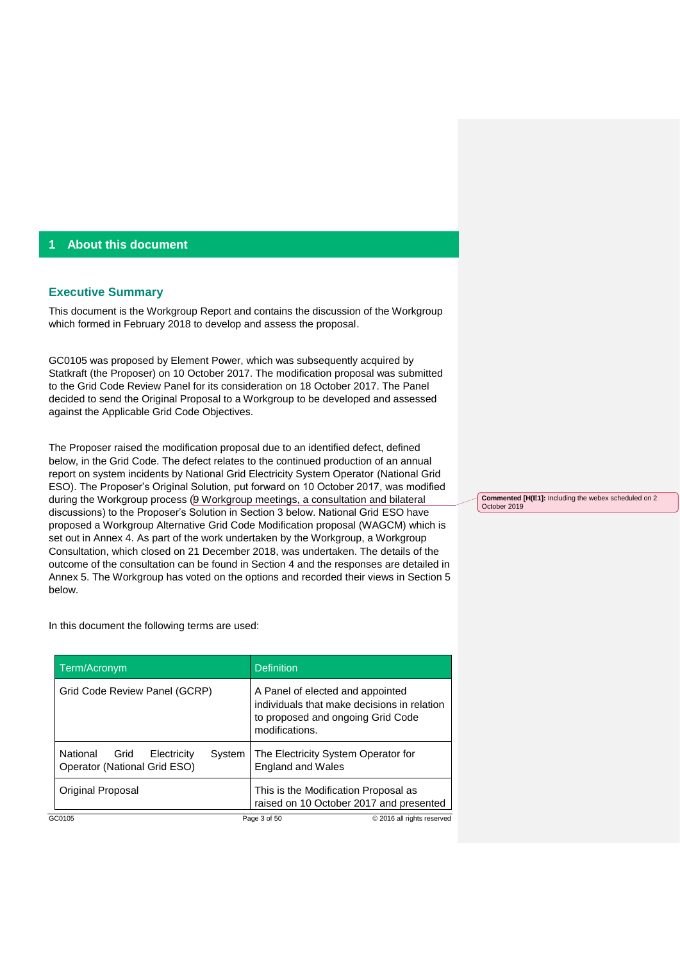## **1 About this document**

#### **Executive Summary**

This document is the Workgroup Report and contains the discussion of the Workgroup which formed in February 2018 to develop and assess the proposal.

GC0105 was proposed by Element Power, which was subsequently acquired by Statkraft (the Proposer) on 10 October 2017. The modification proposal was submitted to the Grid Code Review Panel for its consideration on 18 October 2017. The Panel decided to send the Original Proposal to a Workgroup to be developed and assessed against the Applicable Grid Code Objectives.

The Proposer raised the modification proposal due to an identified defect, defined below, in the Grid Code. The defect relates to the continued production of an annual report on system incidents by National Grid Electricity System Operator (National Grid ESO). The Proposer's Original Solution, put forward on 10 October 2017, was modified during the Workgroup process (9 Workgroup meetings, a consultation and bilateral discussions) to the Proposer's Solution in Section 3 below. National Grid ESO have proposed a Workgroup Alternative Grid Code Modification proposal (WAGCM) which is set out in Annex 4. As part of the work undertaken by the Workgroup, a Workgroup Consultation, which closed on 21 December 2018, was undertaken. The details of the outcome of the consultation can be found in Section 4 and the responses are detailed in Annex 5. The Workgroup has voted on the options and recorded their views in Section 5 below.

In this document the following terms are used:

| Term/Acronym                                                           | <b>Definition</b>                                                                                                                      |
|------------------------------------------------------------------------|----------------------------------------------------------------------------------------------------------------------------------------|
| Grid Code Review Panel (GCRP)                                          | A Panel of elected and appointed<br>individuals that make decisions in relation<br>to proposed and ongoing Grid Code<br>modifications. |
| National Grid<br>Electricity<br>System<br>Operator (National Grid ESO) | The Electricity System Operator for<br><b>England and Wales</b>                                                                        |
| Original Proposal                                                      | This is the Modification Proposal as<br>raised on 10 October 2017 and presented                                                        |
| GC0105                                                                 | Page 3 of 50<br>© 2016 all rights reserved                                                                                             |

**Commented [H(E1]:** Including the webex scheduled on 2 October 2019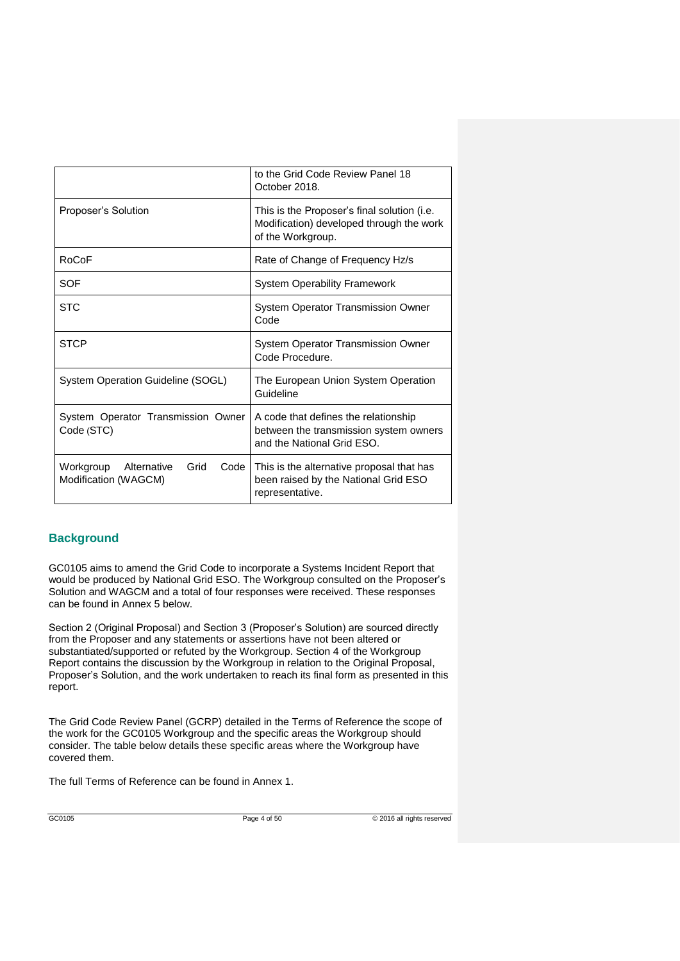|                                                                  | to the Grid Code Review Panel 18<br>October 2018.                                                            |
|------------------------------------------------------------------|--------------------------------------------------------------------------------------------------------------|
| Proposer's Solution                                              | This is the Proposer's final solution (i.e.<br>Modification) developed through the work<br>of the Workgroup. |
| RoCoF                                                            | Rate of Change of Frequency Hz/s                                                                             |
| SOF                                                              | <b>System Operability Framework</b>                                                                          |
| <b>STC</b>                                                       | System Operator Transmission Owner<br>Code                                                                   |
| <b>STCP</b>                                                      | System Operator Transmission Owner<br>Code Procedure.                                                        |
| System Operation Guideline (SOGL)                                | The European Union System Operation<br>Guideline                                                             |
| System Operator Transmission Owner<br>Code (STC)                 | A code that defines the relationship<br>between the transmission system owners<br>and the National Grid ESO. |
| Workgroup<br>Alternative<br>Grid<br>Code<br>Modification (WAGCM) | This is the alternative proposal that has<br>been raised by the National Grid ESO<br>representative.         |

## **Background**

GC0105 aims to amend the Grid Code to incorporate a Systems Incident Report that would be produced by National Grid ESO. The Workgroup consulted on the Proposer's Solution and WAGCM and a total of four responses were received. These responses can be found in Annex 5 below.

Section 2 (Original Proposal) and Section 3 (Proposer's Solution) are sourced directly from the Proposer and any statements or assertions have not been altered or substantiated/supported or refuted by the Workgroup. Section 4 of the Workgroup Report contains the discussion by the Workgroup in relation to the Original Proposal, Proposer's Solution, and the work undertaken to reach its final form as presented in this report.

The Grid Code Review Panel (GCRP) detailed in the Terms of Reference the scope of the work for the GC0105 Workgroup and the specific areas the Workgroup should consider. The table below details these specific areas where the Workgroup have covered them.

The full Terms of Reference can be found in Annex 1.

GC0105 Page 4 of 50 © 2016 all rights reserved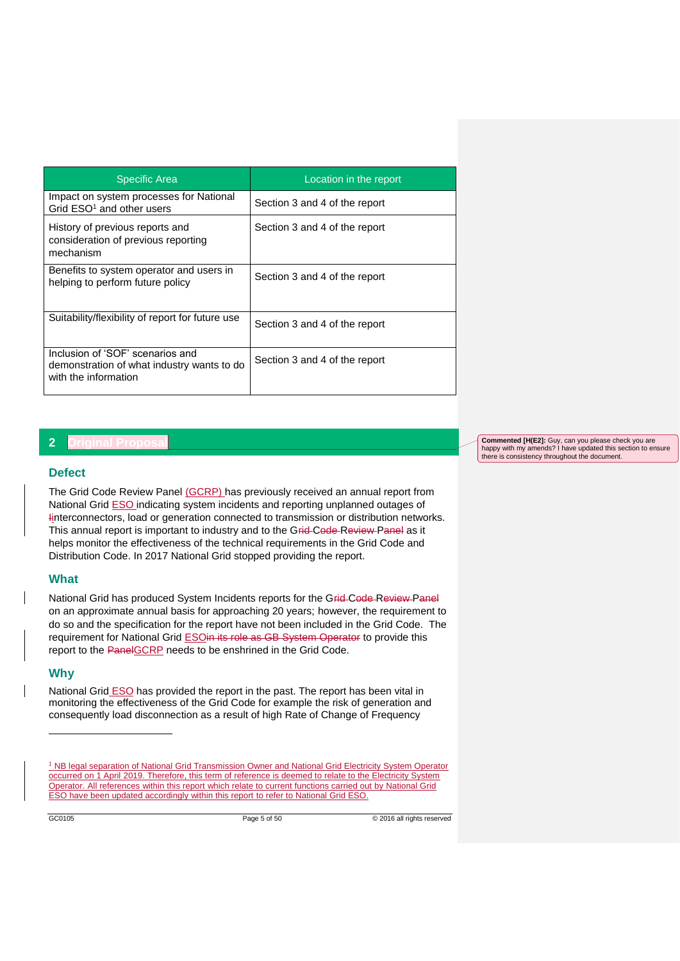| <b>Specific Area</b>                                                                                   | Location in the report        |
|--------------------------------------------------------------------------------------------------------|-------------------------------|
| Impact on system processes for National<br>Grid ESO <sup>1</sup> and other users                       | Section 3 and 4 of the report |
| History of previous reports and<br>consideration of previous reporting<br>mechanism                    | Section 3 and 4 of the report |
| Benefits to system operator and users in<br>helping to perform future policy                           | Section 3 and 4 of the report |
| Suitability/flexibility of report for future use                                                       | Section 3 and 4 of the report |
| Inclusion of 'SOF' scenarios and<br>demonstration of what industry wants to do<br>with the information | Section 3 and 4 of the report |

## **2 Original Proposal**

## **Defect**

The Grid Code Review Panel (GCRP) has previously received an annual report from National Grid **ESO** indicating system incidents and reporting unplanned outages of Iinterconnectors, load or generation connected to transmission or distribution networks. This annual report is important to industry and to the Grid-Code-Review-Panel as it helps monitor the effectiveness of the technical requirements in the Grid Code and Distribution Code. In 2017 National Grid stopped providing the report.

## **What**

National Grid has produced System Incidents reports for the Grid-Code-Review-Panel on an approximate annual basis for approaching 20 years; however, the requirement to do so and the specification for the report have not been included in the Grid Code. The requirement for National Grid ESOin its role as GB System Operator to provide this report to the PanelGCRP needs to be enshrined in the Grid Code.

## **Why**

-

National Grid **ESO** has provided the report in the past. The report has been vital in monitoring the effectiveness of the Grid Code for example the risk of generation and consequently load disconnection as a result of high Rate of Change of Frequency

**Commented [H(E2]:** Guy, can you please check you are happy with my amends? I have updated this section to ensure there is consistency throughout the document.

<sup>&</sup>lt;sup>1</sup> NB legal separation of National Grid Transmission Owner and National Grid Electricity System Operator occurred on 1 April 2019. Therefore, this term of reference is deemed to relate to the Electricity System Operator. All references within this report which relate to current functions carried out by National Grid ESO have been updated accordingly within this report to refer to National Grid ESO.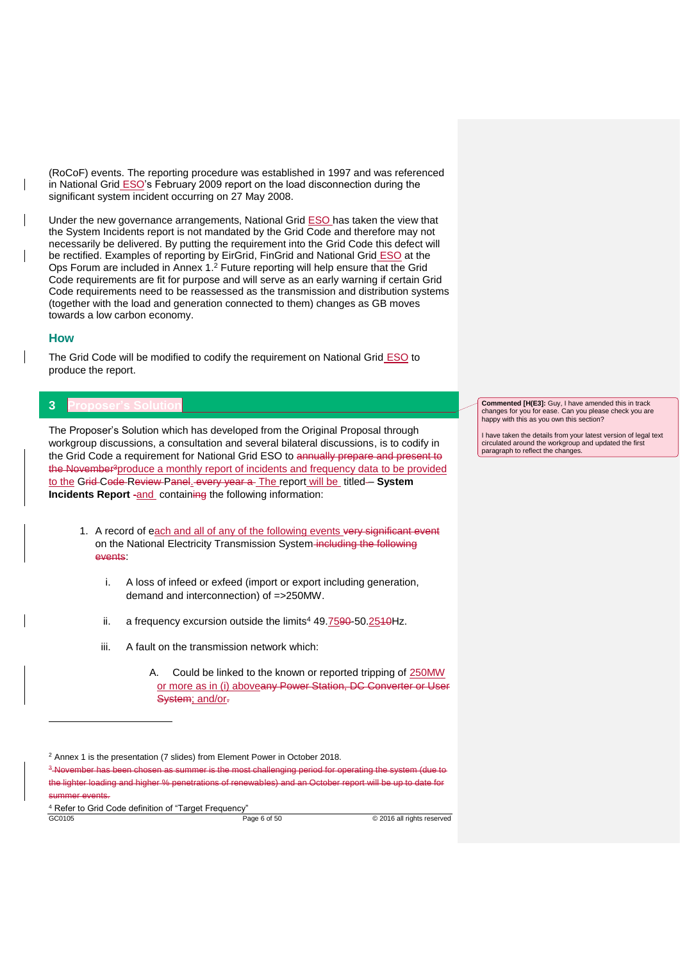(RoCoF) events. The reporting procedure was established in 1997 and was referenced in National Grid ESO's February 2009 report on the load disconnection during the significant system incident occurring on 27 May 2008.

Under the new governance arrangements, National Grid ESO has taken the view that the System Incidents report is not mandated by the Grid Code and therefore may not necessarily be delivered. By putting the requirement into the Grid Code this defect will be rectified. Examples of reporting by EirGrid, FinGrid and National Grid ESO at the Ops Forum are included in Annex 1. <sup>2</sup> Future reporting will help ensure that the Grid Code requirements are fit for purpose and will serve as an early warning if certain Grid Code requirements need to be reassessed as the transmission and distribution systems (together with the load and generation connected to them) changes as GB moves towards a low carbon economy.

#### **How**

-

The Grid Code will be modified to codify the requirement on National Grid ESO to produce the report.

## **3 Proposer's Solution**

The Proposer's Solution which has developed from the Original Proposal through workgroup discussions, a consultation and several bilateral discussions, is to codify in the Grid Code a requirement for National Grid ESO to annually prepare and present to the November<sup>3</sup>produce a monthly report of incidents and frequency data to be provided to the Grid Code Review Panel. every year a The report will be titled- System **Incidents Report -and containing the following information:** 

- 1. A record of each and all of any of the following events very significant event on the National Electricity Transmission System including the following events:
	- i. A loss of infeed or exfeed (import or export including generation, demand and interconnection) of =>250MW.
	- ii. a frequency excursion outside the limits<sup>4</sup> 49.7590-50.2540Hz.
	- iii. A fault on the transmission network which:
		- A. Could be linked to the known or reported tripping of 250MW or more as in (i) aboveany Power Station, DC Converter or User System; and/or-

GC0105 **Page 6 of 50 Page 6 of 50 CO105 Page 6 of 50 CO105 Page 8 of 50 CO105 Page 8 of 50 CO105 Page 8 of 50 CO105 Page 8 of 50 CO105 Page 8 of 50 CO105 Page 8 of 50 CO105 Page 8 of 50** <sup>4</sup> Refer to Grid Code definition of "Target Frequency"

**Commented [H(E3]:** Guy, I have amended this in track changes for you for ease. Can you please check you are happy with this as you own this section?

I have taken the details from your latest version of legal text circulated around the workgroup and updated the first paragraph to reflect the changes.

<sup>&</sup>lt;sup>2</sup> Annex 1 is the presentation (7 slides) from Element Power in October 2018.

<sup>&</sup>lt;sup>3</sup> November has been chosen as summer is the most challenging period for operating the system (due to the lighter loading and higher % penetrations of renewables) and an October report will be up to date for summer events.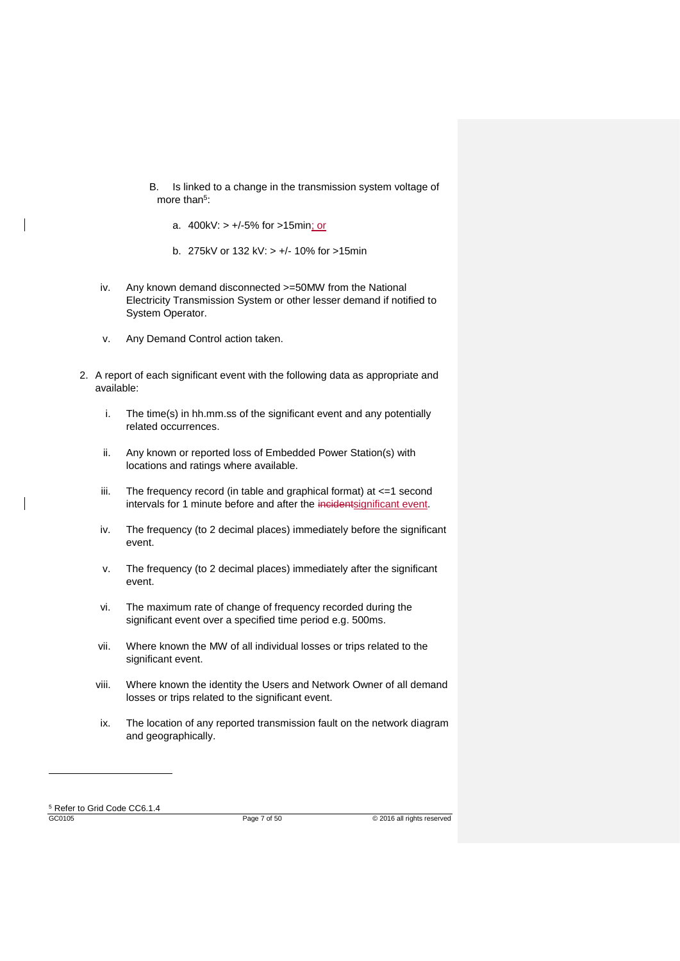- B. Is linked to a change in the transmission system voltage of more than<sup>5</sup>:
	- a. 400kV: > +/-5% for >15min; or
	- b. 275kV or 132 kV: > +/- 10% for >15min
- iv. Any known demand disconnected >=50MW from the National Electricity Transmission System or other lesser demand if notified to System Operator.
- v. Any Demand Control action taken.
- 2. A report of each significant event with the following data as appropriate and available:
	- i. The time(s) in hh.mm.ss of the significant event and any potentially related occurrences.
	- ii. Any known or reported loss of Embedded Power Station(s) with locations and ratings where available.
	- iii. The frequency record (in table and graphical format) at <=1 second intervals for 1 minute before and after the incidentsignificant event.
	- iv. The frequency (to 2 decimal places) immediately before the significant event.
	- v. The frequency (to 2 decimal places) immediately after the significant event.
	- vi. The maximum rate of change of frequency recorded during the significant event over a specified time period e.g. 500ms.
	- vii. Where known the MW of all individual losses or trips related to the significant event.
	- viii. Where known the identity the Users and Network Owner of all demand losses or trips related to the significant event.
	- ix. The location of any reported transmission fault on the network diagram and geographically.

GC0105 **Page 7 of 50 Page 7 of 50 CO105 CO105 Page 7 of 50 CO105 CO2016 CO2016 CO2016 CO2016 CO2016 CO2016 CO2016 CO2016 CO2016 CO2016 CO2016 CO2016 CO2016 CO2016 CO2016 CO2016 C** <sup>5</sup> Refer to Grid Code CC6.1.4

-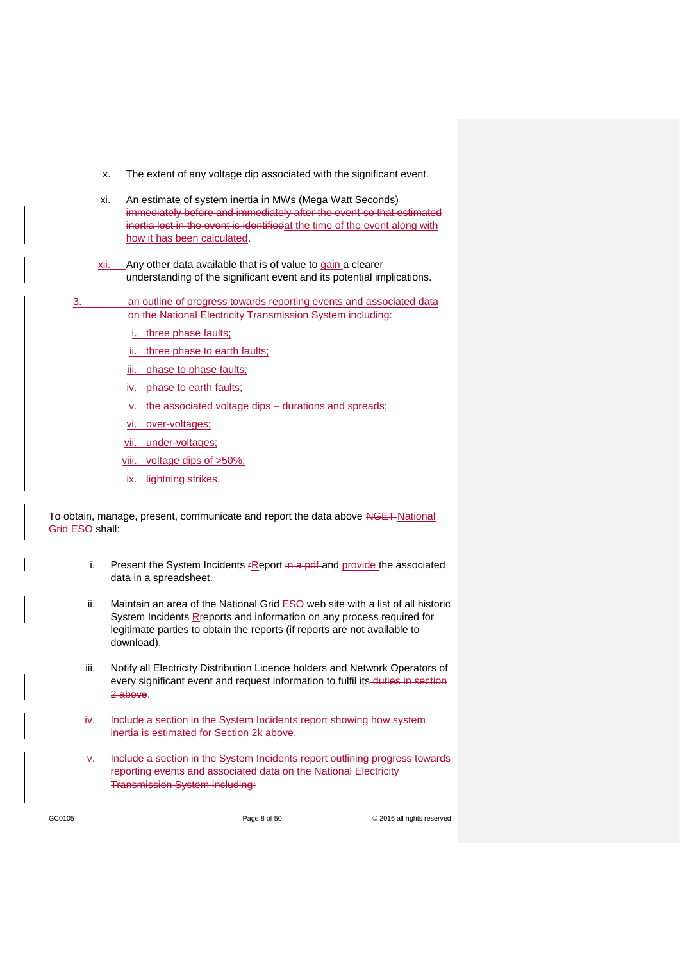- x. The extent of any voltage dip associated with the significant event.
- xi. An estimate of system inertia in MWs (Mega Watt Seconds) immediately before and immediately after the event so that estimated inertia lost in the event is identifiedat the time of the event along with how it has been calculated.
- xii. Any other data available that is of value to gain a clearer understanding of the significant event and its potential implications.
- 3. an outline of progress towards reporting events and associated data on the National Electricity Transmission System including:
	- three phase faults;
	- ii. three phase to earth faults;
	- iii. phase to phase faults;
	- iv. phase to earth faults;
	- v. the associated voltage dips durations and spreads;
	- vi. over-voltages;
	- vii. under-voltages;
	- viii. voltage dips of >50%;
	- ix. lightning strikes.

To obtain, manage, present, communicate and report the data above NGET National Grid ESO shall:

- i. Present the System Incidents  $r$ Report in a pdf-and provide the associated data in a spreadsheet.
- ii. Maintain an area of the National Grid **ESO** web site with a list of all historic System Incidents R-reports and information on any process required for legitimate parties to obtain the reports (if reports are not available to download).
- iii. Notify all Electricity Distribution Licence holders and Network Operators of every significant event and request information to fulfil its-duties in section 2 above.
- Include a section in the System Incidents report showing how system inertia is estimated for Section 2k above.
- Include a section in the System Incidents report outlining progress towards reporting events and associated data on the National Electricity Transmission System including: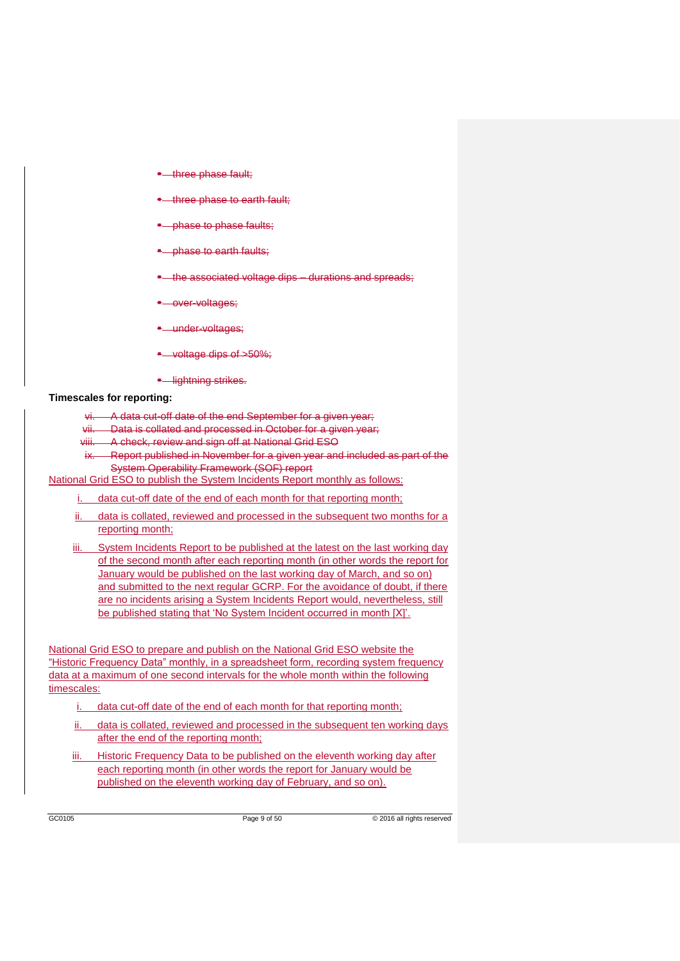- three phase fault;
- three phase to earth fault;
- phase to phase faults;
- phase to earth faults:
- the associated voltage dips durations and spreads;
- over-voltages;
- **-** under-voltages;
- voltage dips of >50%;
- **•** lightning strikes.

#### **Timescales for reporting:**

- A data cut-off date of the end September for a given year;
- vii. Data is collated and processed in October for a given year;
- viii. A check, review and sign off at National Grid ESO
- ix. Report published in November for a given year and included as part of the System Operability Framework (SOF) report

National Grid ESO to publish the System Incidents Report monthly as follows:

i. data cut-off date of the end of each month for that reporting month;

- ii. data is collated, reviewed and processed in the subsequent two months for a reporting month;
- iii. System Incidents Report to be published at the latest on the last working day of the second month after each reporting month (in other words the report for January would be published on the last working day of March, and so on) and submitted to the next regular GCRP. For the avoidance of doubt, if there are no incidents arising a System Incidents Report would, nevertheless, still be published stating that 'No System Incident occurred in month [X]'.

National Grid ESO to prepare and publish on the National Grid ESO website the "Historic Frequency Data" monthly, in a spreadsheet form, recording system frequency data at a maximum of one second intervals for the whole month within the following timescales:

- i. data cut-off date of the end of each month for that reporting month;
- ii. data is collated, reviewed and processed in the subsequent ten working days after the end of the reporting month;
- iii. Historic Frequency Data to be published on the eleventh working day after each reporting month (in other words the report for January would be published on the eleventh working day of February, and so on).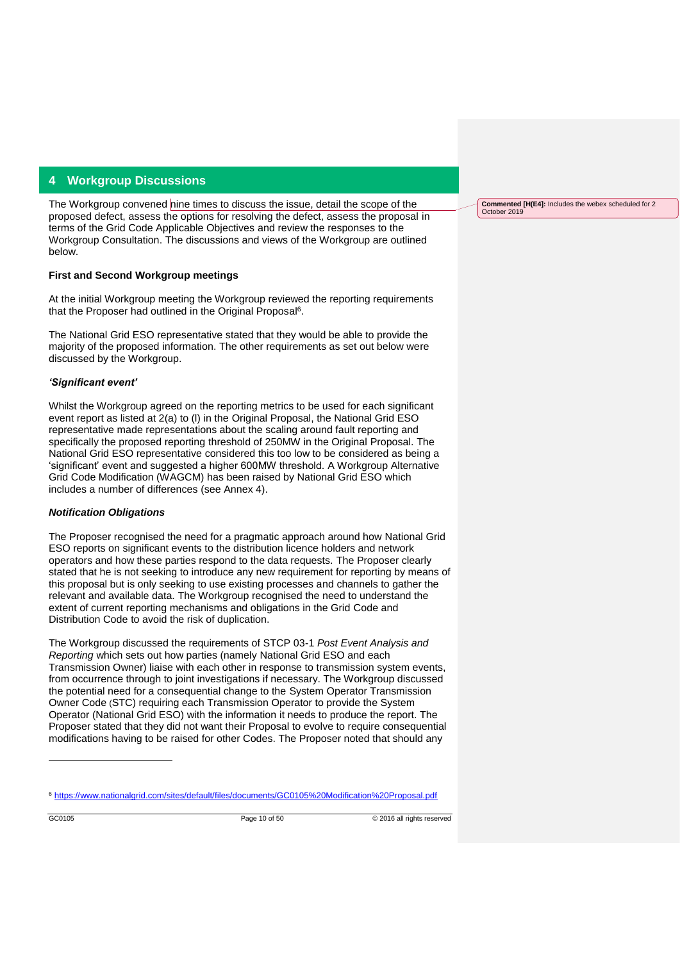## **4 Workgroup Discussions**

The Workgroup convened nine times to discuss the issue, detail the scope of the proposed defect, assess the options for resolving the defect, assess the proposal in terms of the Grid Code Applicable Objectives and review the responses to the Workgroup Consultation. The discussions and views of the Workgroup are outlined below.

## **First and Second Workgroup meetings**

At the initial Workgroup meeting the Workgroup reviewed the reporting requirements that the Proposer had outlined in the Original Proposal<sup>6</sup>.

The National Grid ESO representative stated that they would be able to provide the majority of the proposed information. The other requirements as set out below were discussed by the Workgroup.

#### *'Significant event'*

Whilst the Workgroup agreed on the reporting metrics to be used for each significant event report as listed at 2(a) to (l) in the Original Proposal, the National Grid ESO representative made representations about the scaling around fault reporting and specifically the proposed reporting threshold of 250MW in the Original Proposal. The National Grid ESO representative considered this too low to be considered as being a 'significant' event and suggested a higher 600MW threshold. A Workgroup Alternative Grid Code Modification (WAGCM) has been raised by National Grid ESO which includes a number of differences (see Annex 4).

#### *Notification Obligations*

The Proposer recognised the need for a pragmatic approach around how National Grid ESO reports on significant events to the distribution licence holders and network operators and how these parties respond to the data requests. The Proposer clearly stated that he is not seeking to introduce any new requirement for reporting by means of this proposal but is only seeking to use existing processes and channels to gather the relevant and available data. The Workgroup recognised the need to understand the extent of current reporting mechanisms and obligations in the Grid Code and Distribution Code to avoid the risk of duplication.

The Workgroup discussed the requirements of STCP 03-1 *Post Event Analysis and Reporting* which sets out how parties (namely National Grid ESO and each Transmission Owner) liaise with each other in response to transmission system events, from occurrence through to joint investigations if necessary. The Workgroup discussed the potential need for a consequential change to the System Operator Transmission Owner Code (STC) requiring each Transmission Operator to provide the System Operator (National Grid ESO) with the information it needs to produce the report. The Proposer stated that they did not want their Proposal to evolve to require consequential modifications having to be raised for other Codes. The Proposer noted that should any

-

**Commented [H(E4]:** Includes the webex scheduled for 2 October 2019

<sup>6</sup> <https://www.nationalgrid.com/sites/default/files/documents/GC0105%20Modification%20Proposal.pdf>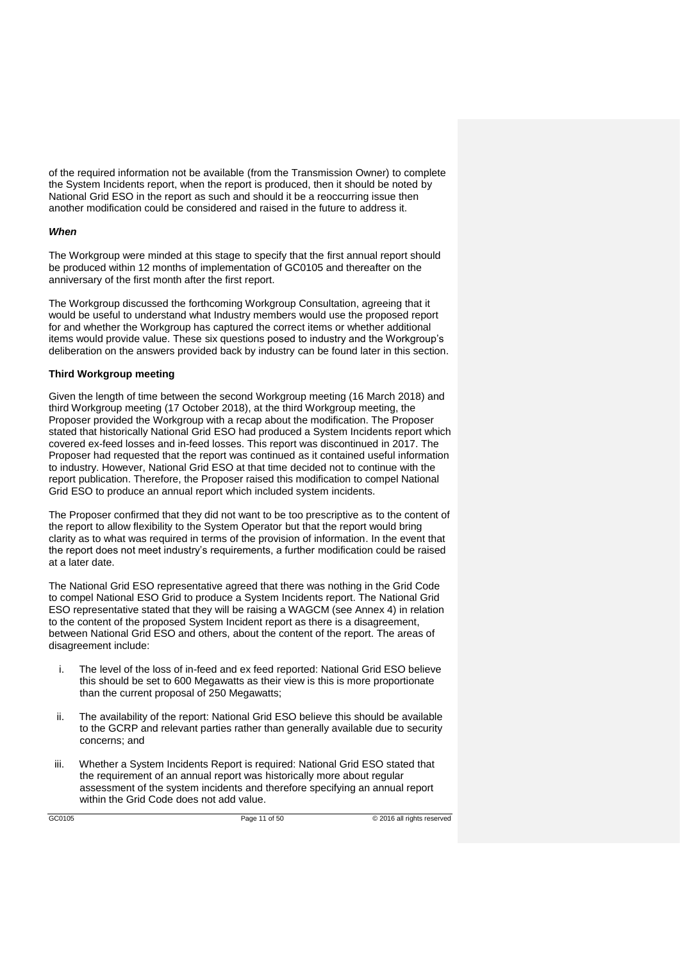of the required information not be available (from the Transmission Owner) to complete the System Incidents report, when the report is produced, then it should be noted by National Grid ESO in the report as such and should it be a reoccurring issue then another modification could be considered and raised in the future to address it.

#### *When*

The Workgroup were minded at this stage to specify that the first annual report should be produced within 12 months of implementation of GC0105 and thereafter on the anniversary of the first month after the first report.

The Workgroup discussed the forthcoming Workgroup Consultation, agreeing that it would be useful to understand what Industry members would use the proposed report for and whether the Workgroup has captured the correct items or whether additional items would provide value. These six questions posed to industry and the Workgroup's deliberation on the answers provided back by industry can be found later in this section.

#### **Third Workgroup meeting**

Given the length of time between the second Workgroup meeting (16 March 2018) and third Workgroup meeting (17 October 2018), at the third Workgroup meeting, the Proposer provided the Workgroup with a recap about the modification. The Proposer stated that historically National Grid ESO had produced a System Incidents report which covered ex-feed losses and in-feed losses. This report was discontinued in 2017. The Proposer had requested that the report was continued as it contained useful information to industry. However, National Grid ESO at that time decided not to continue with the report publication. Therefore, the Proposer raised this modification to compel National Grid ESO to produce an annual report which included system incidents.

The Proposer confirmed that they did not want to be too prescriptive as to the content of the report to allow flexibility to the System Operator but that the report would bring clarity as to what was required in terms of the provision of information. In the event that the report does not meet industry's requirements, a further modification could be raised at a later date.

The National Grid ESO representative agreed that there was nothing in the Grid Code to compel National ESO Grid to produce a System Incidents report. The National Grid ESO representative stated that they will be raising a WAGCM (see Annex 4) in relation to the content of the proposed System Incident report as there is a disagreement, between National Grid ESO and others, about the content of the report. The areas of disagreement include:

- i. The level of the loss of in-feed and ex feed reported: National Grid ESO believe this should be set to 600 Megawatts as their view is this is more proportionate than the current proposal of 250 Megawatts;
- ii. The availability of the report: National Grid ESO believe this should be available to the GCRP and relevant parties rather than generally available due to security concerns; and
- iii. Whether a System Incidents Report is required: National Grid ESO stated that the requirement of an annual report was historically more about regular assessment of the system incidents and therefore specifying an annual report within the Grid Code does not add value.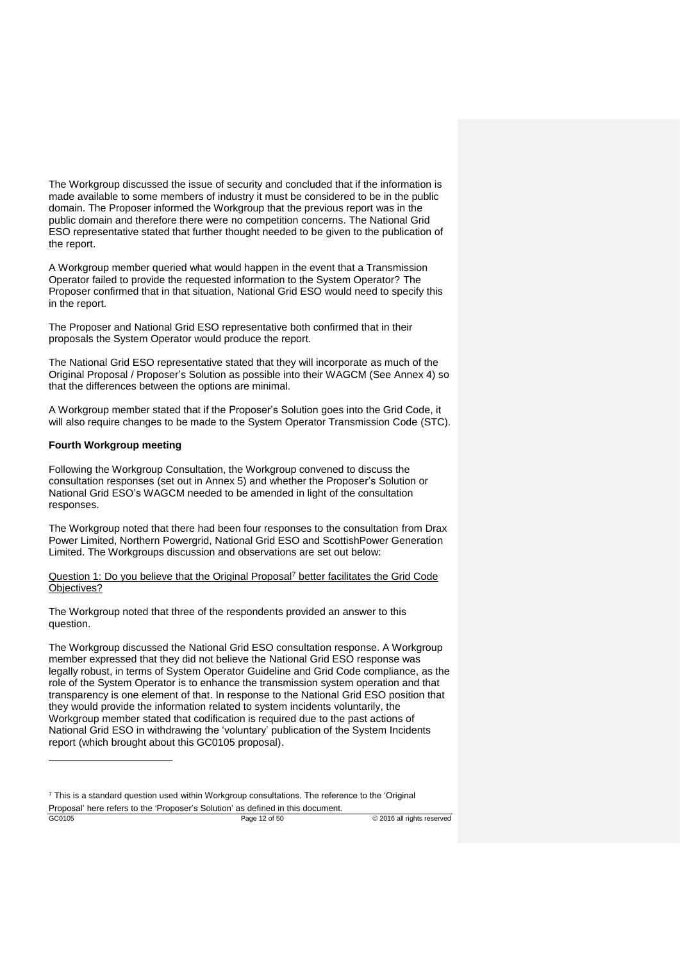The Workgroup discussed the issue of security and concluded that if the information is made available to some members of industry it must be considered to be in the public domain. The Proposer informed the Workgroup that the previous report was in the public domain and therefore there were no competition concerns. The National Grid ESO representative stated that further thought needed to be given to the publication of the report.

A Workgroup member queried what would happen in the event that a Transmission Operator failed to provide the requested information to the System Operator? The Proposer confirmed that in that situation, National Grid ESO would need to specify this in the report.

The Proposer and National Grid ESO representative both confirmed that in their proposals the System Operator would produce the report.

The National Grid ESO representative stated that they will incorporate as much of the Original Proposal / Proposer's Solution as possible into their WAGCM (See Annex 4) so that the differences between the options are minimal.

A Workgroup member stated that if the Proposer's Solution goes into the Grid Code, it will also require changes to be made to the System Operator Transmission Code (STC).

#### **Fourth Workgroup meeting**

-

Following the Workgroup Consultation, the Workgroup convened to discuss the consultation responses (set out in Annex 5) and whether the Proposer's Solution or National Grid ESO's WAGCM needed to be amended in light of the consultation responses.

The Workgroup noted that there had been four responses to the consultation from Drax Power Limited, Northern Powergrid, National Grid ESO and ScottishPower Generation Limited. The Workgroups discussion and observations are set out below:

Question 1: Do you believe that the Original Proposal<sup>7</sup> better facilitates the Grid Code Objectives?

The Workgroup noted that three of the respondents provided an answer to this question.

The Workgroup discussed the National Grid ESO consultation response. A Workgroup member expressed that they did not believe the National Grid ESO response was legally robust, in terms of System Operator Guideline and Grid Code compliance, as the role of the System Operator is to enhance the transmission system operation and that transparency is one element of that. In response to the National Grid ESO position that they would provide the information related to system incidents voluntarily, the Workgroup member stated that codification is required due to the past actions of National Grid ESO in withdrawing the 'voluntary' publication of the System Incidents report (which brought about this GC0105 proposal).

GC0105 Page 12 of 50 © 2016 all rights reserved  $<sup>7</sup>$  This is a standard question used within Workgroup consultations. The reference to the 'Original'</sup> Proposal' here refers to the 'Proposer's Solution' as defined in this document.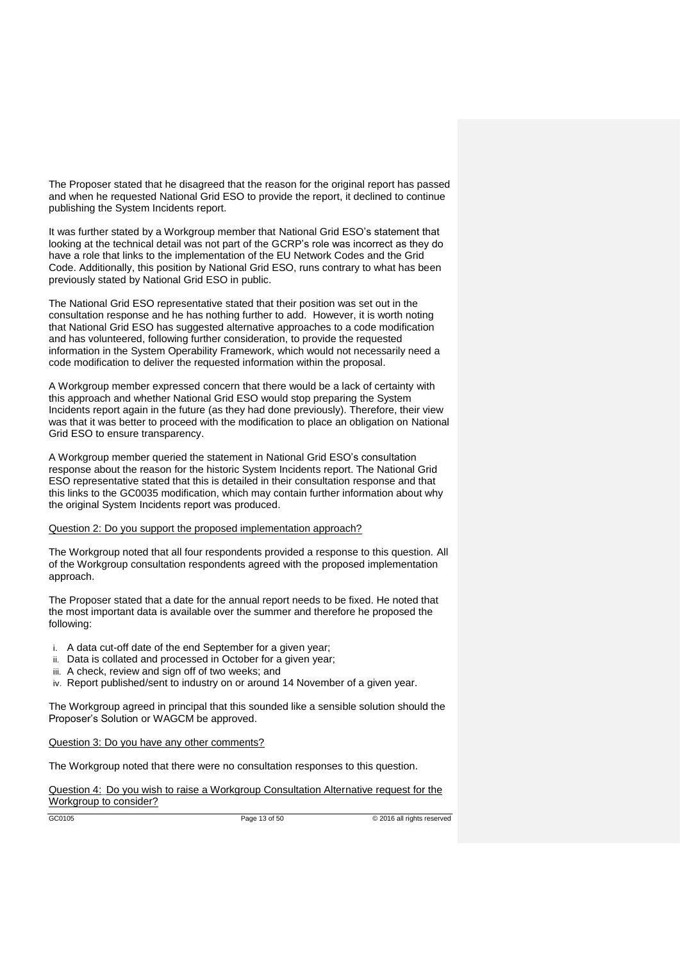The Proposer stated that he disagreed that the reason for the original report has passed and when he requested National Grid ESO to provide the report, it declined to continue publishing the System Incidents report.

It was further stated by a Workgroup member that National Grid ESO's statement that looking at the technical detail was not part of the GCRP's role was incorrect as they do have a role that links to the implementation of the EU Network Codes and the Grid Code. Additionally, this position by National Grid ESO, runs contrary to what has been previously stated by National Grid ESO in public.

The National Grid ESO representative stated that their position was set out in the consultation response and he has nothing further to add. However, it is worth noting that National Grid ESO has suggested alternative approaches to a code modification and has volunteered, following further consideration, to provide the requested information in the System Operability Framework, which would not necessarily need a code modification to deliver the requested information within the proposal.

A Workgroup member expressed concern that there would be a lack of certainty with this approach and whether National Grid ESO would stop preparing the System Incidents report again in the future (as they had done previously). Therefore, their view was that it was better to proceed with the modification to place an obligation on National Grid ESO to ensure transparency.

A Workgroup member queried the statement in National Grid ESO's consultation response about the reason for the historic System Incidents report. The National Grid ESO representative stated that this is detailed in their consultation response and that this links to the GC0035 modification, which may contain further information about why the original System Incidents report was produced.

#### Question 2: Do you support the proposed implementation approach?

The Workgroup noted that all four respondents provided a response to this question. All of the Workgroup consultation respondents agreed with the proposed implementation approach.

The Proposer stated that a date for the annual report needs to be fixed. He noted that the most important data is available over the summer and therefore he proposed the following:

- i. A data cut-off date of the end September for a given year;
- ii. Data is collated and processed in October for a given year;
- iii. A check, review and sign off of two weeks; and
- iv. Report published/sent to industry on or around 14 November of a given year.

The Workgroup agreed in principal that this sounded like a sensible solution should the Proposer's Solution or WAGCM be approved.

#### Question 3: Do you have any other comments?

The Workgroup noted that there were no consultation responses to this question.

Question 4: Do you wish to raise a Workgroup Consultation Alternative request for the Workgroup to consider?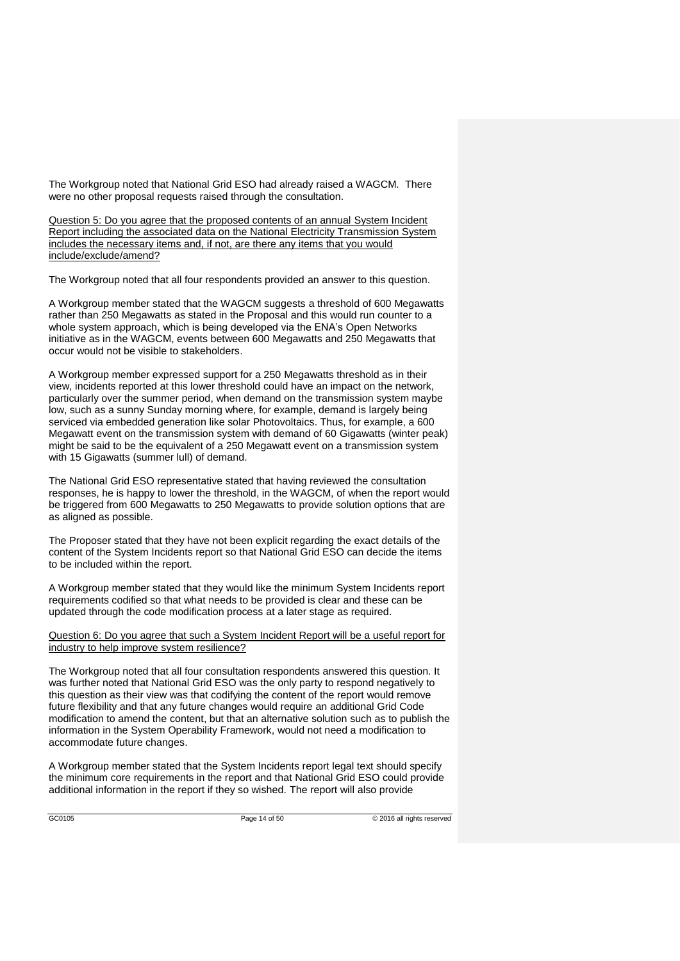The Workgroup noted that National Grid ESO had already raised a WAGCM. There were no other proposal requests raised through the consultation.

Question 5: Do you agree that the proposed contents of an annual System Incident Report including the associated data on the National Electricity Transmission System includes the necessary items and, if not, are there any items that you would include/exclude/amend?

The Workgroup noted that all four respondents provided an answer to this question.

A Workgroup member stated that the WAGCM suggests a threshold of 600 Megawatts rather than 250 Megawatts as stated in the Proposal and this would run counter to a whole system approach, which is being developed via the ENA's Open Networks initiative as in the WAGCM, events between 600 Megawatts and 250 Megawatts that occur would not be visible to stakeholders.

A Workgroup member expressed support for a 250 Megawatts threshold as in their view, incidents reported at this lower threshold could have an impact on the network, particularly over the summer period, when demand on the transmission system maybe low, such as a sunny Sunday morning where, for example, demand is largely being serviced via embedded generation like solar Photovoltaics. Thus, for example, a 600 Megawatt event on the transmission system with demand of 60 Gigawatts (winter peak) might be said to be the equivalent of a 250 Megawatt event on a transmission system with 15 Gigawatts (summer lull) of demand.

The National Grid ESO representative stated that having reviewed the consultation responses, he is happy to lower the threshold, in the WAGCM, of when the report would be triggered from 600 Megawatts to 250 Megawatts to provide solution options that are as aligned as possible.

The Proposer stated that they have not been explicit regarding the exact details of the content of the System Incidents report so that National Grid ESO can decide the items to be included within the report.

A Workgroup member stated that they would like the minimum System Incidents report requirements codified so that what needs to be provided is clear and these can be updated through the code modification process at a later stage as required.

Question 6: Do you agree that such a System Incident Report will be a useful report for industry to help improve system resilience?

The Workgroup noted that all four consultation respondents answered this question. It was further noted that National Grid ESO was the only party to respond negatively to this question as their view was that codifying the content of the report would remove future flexibility and that any future changes would require an additional Grid Code modification to amend the content, but that an alternative solution such as to publish the information in the System Operability Framework, would not need a modification to accommodate future changes.

A Workgroup member stated that the System Incidents report legal text should specify the minimum core requirements in the report and that National Grid ESO could provide additional information in the report if they so wished. The report will also provide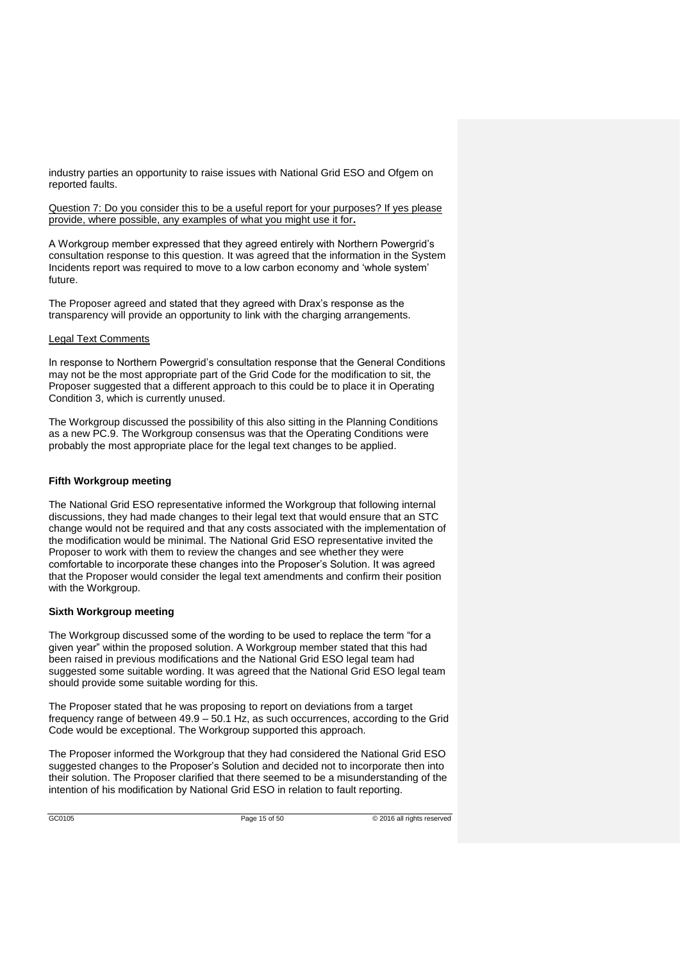industry parties an opportunity to raise issues with National Grid ESO and Ofgem on reported faults.

Question 7: Do you consider this to be a useful report for your purposes? If ves please provide, where possible, any examples of what you might use it for**.**

A Workgroup member expressed that they agreed entirely with Northern Powergrid's consultation response to this question. It was agreed that the information in the System Incidents report was required to move to a low carbon economy and 'whole system' future.

The Proposer agreed and stated that they agreed with Drax's response as the transparency will provide an opportunity to link with the charging arrangements.

## Legal Text Comments

In response to Northern Powergrid's consultation response that the General Conditions may not be the most appropriate part of the Grid Code for the modification to sit, the Proposer suggested that a different approach to this could be to place it in Operating Condition 3, which is currently unused.

The Workgroup discussed the possibility of this also sitting in the Planning Conditions as a new PC.9. The Workgroup consensus was that the Operating Conditions were probably the most appropriate place for the legal text changes to be applied.

### **Fifth Workgroup meeting**

The National Grid ESO representative informed the Workgroup that following internal discussions, they had made changes to their legal text that would ensure that an STC change would not be required and that any costs associated with the implementation of the modification would be minimal. The National Grid ESO representative invited the Proposer to work with them to review the changes and see whether they were comfortable to incorporate these changes into the Proposer's Solution. It was agreed that the Proposer would consider the legal text amendments and confirm their position with the Workgroup.

#### **Sixth Workgroup meeting**

The Workgroup discussed some of the wording to be used to replace the term "for a given year" within the proposed solution. A Workgroup member stated that this had been raised in previous modifications and the National Grid ESO legal team had suggested some suitable wording. It was agreed that the National Grid ESO legal team should provide some suitable wording for this.

The Proposer stated that he was proposing to report on deviations from a target frequency range of between 49.9 – 50.1 Hz, as such occurrences, according to the Grid Code would be exceptional. The Workgroup supported this approach.

The Proposer informed the Workgroup that they had considered the National Grid ESO suggested changes to the Proposer's Solution and decided not to incorporate then into their solution. The Proposer clarified that there seemed to be a misunderstanding of the intention of his modification by National Grid ESO in relation to fault reporting.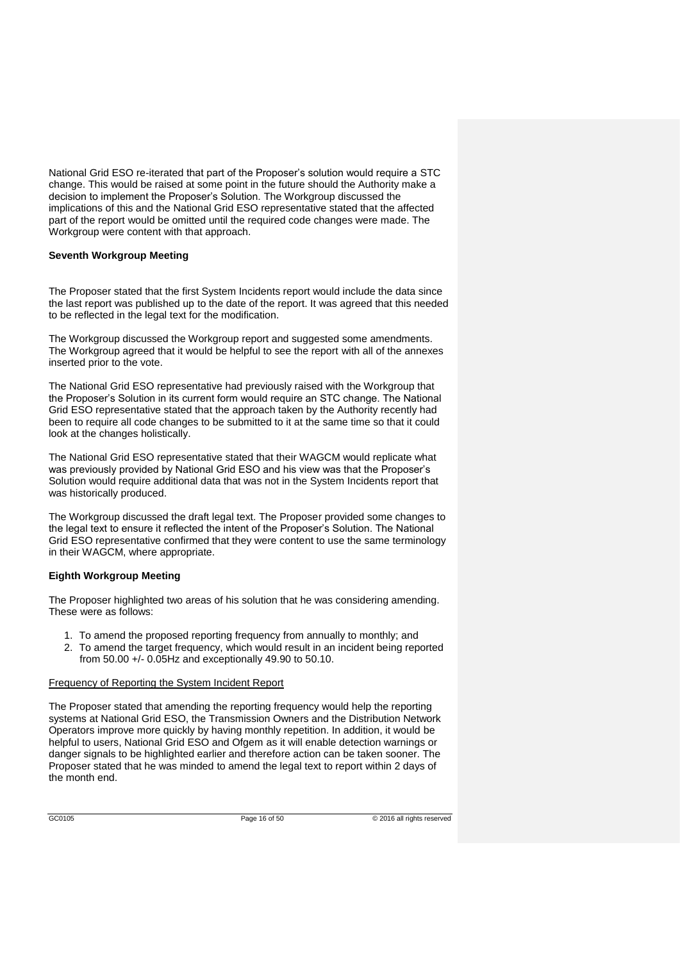National Grid ESO re-iterated that part of the Proposer's solution would require a STC change. This would be raised at some point in the future should the Authority make a decision to implement the Proposer's Solution. The Workgroup discussed the implications of this and the National Grid ESO representative stated that the affected part of the report would be omitted until the required code changes were made. The Workgroup were content with that approach.

## **Seventh Workgroup Meeting**

The Proposer stated that the first System Incidents report would include the data since the last report was published up to the date of the report. It was agreed that this needed to be reflected in the legal text for the modification.

The Workgroup discussed the Workgroup report and suggested some amendments. The Workgroup agreed that it would be helpful to see the report with all of the annexes inserted prior to the vote.

The National Grid ESO representative had previously raised with the Workgroup that the Proposer's Solution in its current form would require an STC change. The National Grid ESO representative stated that the approach taken by the Authority recently had been to require all code changes to be submitted to it at the same time so that it could look at the changes holistically.

The National Grid ESO representative stated that their WAGCM would replicate what was previously provided by National Grid ESO and his view was that the Proposer's Solution would require additional data that was not in the System Incidents report that was historically produced.

The Workgroup discussed the draft legal text. The Proposer provided some changes to the legal text to ensure it reflected the intent of the Proposer's Solution. The National Grid ESO representative confirmed that they were content to use the same terminology in their WAGCM, where appropriate.

## **Eighth Workgroup Meeting**

The Proposer highlighted two areas of his solution that he was considering amending. These were as follows:

- 1. To amend the proposed reporting frequency from annually to monthly; and
- 2. To amend the target frequency, which would result in an incident being reported from 50.00 +/- 0.05Hz and exceptionally 49.90 to 50.10.

## Frequency of Reporting the System Incident Report

The Proposer stated that amending the reporting frequency would help the reporting systems at National Grid ESO, the Transmission Owners and the Distribution Network Operators improve more quickly by having monthly repetition. In addition, it would be helpful to users, National Grid ESO and Ofgem as it will enable detection warnings or danger signals to be highlighted earlier and therefore action can be taken sooner. The Proposer stated that he was minded to amend the legal text to report within 2 days of the month end.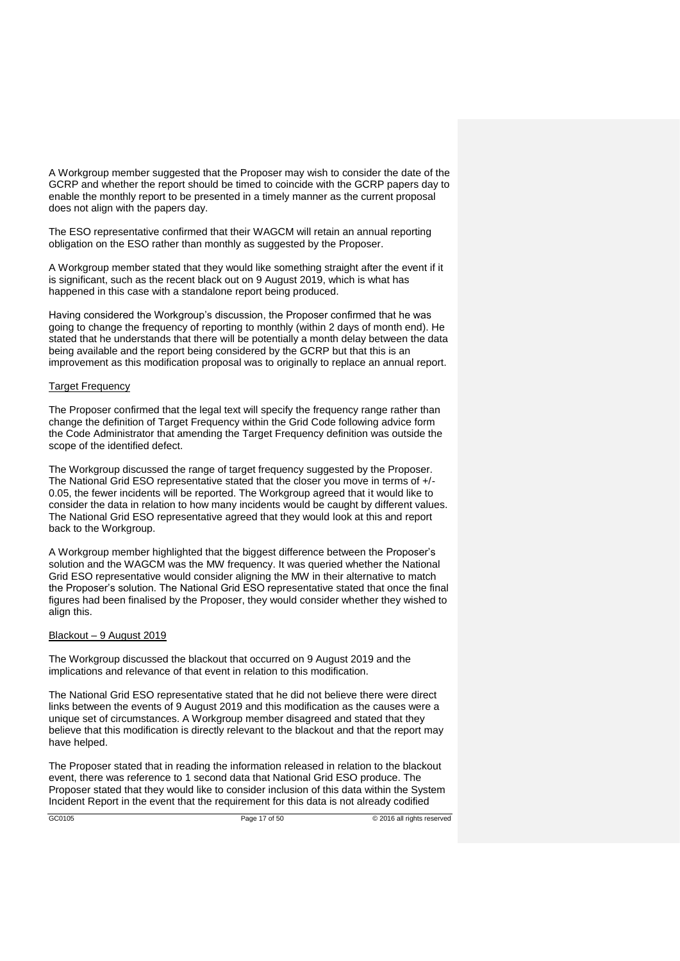A Workgroup member suggested that the Proposer may wish to consider the date of the GCRP and whether the report should be timed to coincide with the GCRP papers day to enable the monthly report to be presented in a timely manner as the current proposal does not align with the papers day.

The ESO representative confirmed that their WAGCM will retain an annual reporting obligation on the ESO rather than monthly as suggested by the Proposer.

A Workgroup member stated that they would like something straight after the event if it is significant, such as the recent black out on 9 August 2019, which is what has happened in this case with a standalone report being produced.

Having considered the Workgroup's discussion, the Proposer confirmed that he was going to change the frequency of reporting to monthly (within 2 days of month end). He stated that he understands that there will be potentially a month delay between the data being available and the report being considered by the GCRP but that this is an improvement as this modification proposal was to originally to replace an annual report.

#### Target Frequency

The Proposer confirmed that the legal text will specify the frequency range rather than change the definition of Target Frequency within the Grid Code following advice form the Code Administrator that amending the Target Frequency definition was outside the scope of the identified defect.

The Workgroup discussed the range of target frequency suggested by the Proposer. The National Grid ESO representative stated that the closer you move in terms of +/- 0.05, the fewer incidents will be reported. The Workgroup agreed that it would like to consider the data in relation to how many incidents would be caught by different values. The National Grid ESO representative agreed that they would look at this and report back to the Workgroup.

A Workgroup member highlighted that the biggest difference between the Proposer's solution and the WAGCM was the MW frequency. It was queried whether the National Grid ESO representative would consider aligning the MW in their alternative to match the Proposer's solution. The National Grid ESO representative stated that once the final figures had been finalised by the Proposer, they would consider whether they wished to align this.

#### Blackout – 9 August 2019

The Workgroup discussed the blackout that occurred on 9 August 2019 and the implications and relevance of that event in relation to this modification.

The National Grid ESO representative stated that he did not believe there were direct links between the events of 9 August 2019 and this modification as the causes were a unique set of circumstances. A Workgroup member disagreed and stated that they believe that this modification is directly relevant to the blackout and that the report may have helped.

The Proposer stated that in reading the information released in relation to the blackout event, there was reference to 1 second data that National Grid ESO produce. The Proposer stated that they would like to consider inclusion of this data within the System Incident Report in the event that the requirement for this data is not already codified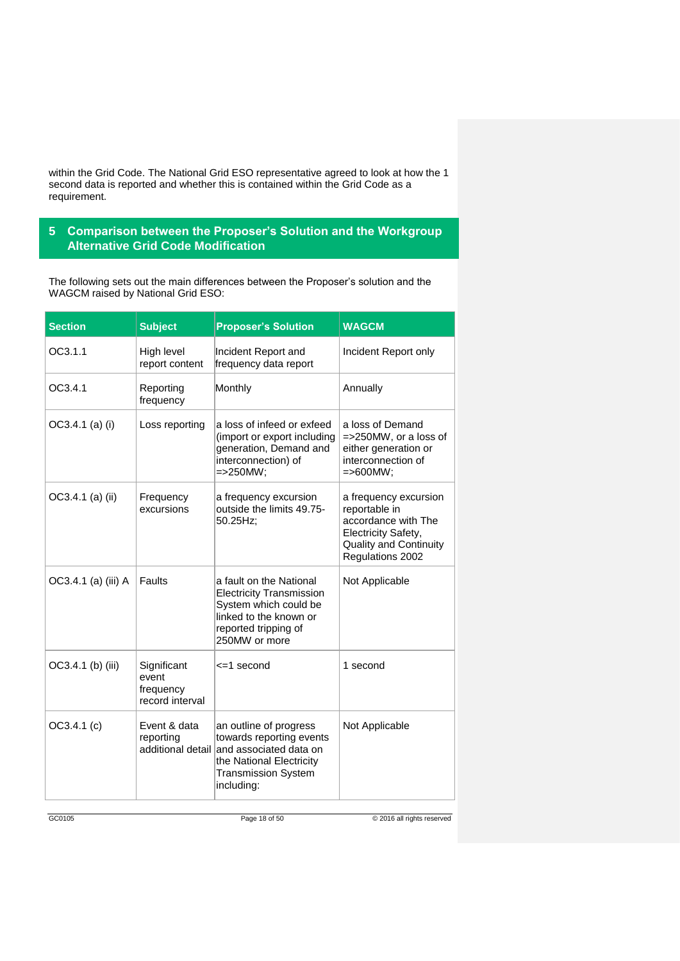within the Grid Code. The National Grid ESO representative agreed to look at how the 1 second data is reported and whether this is contained within the Grid Code as a requirement.

## **5 Comparison between the Proposer's Solution and the Workgroup Alternative Grid Code Modification**

The following sets out the main differences between the Proposer's solution and the WAGCM raised by National Grid ESO:

| <b>Section</b>      | <b>Subject</b>                                       | <b>Proposer's Solution</b>                                                                                                                                             | <b>WAGCM</b>                                                                                                                              |
|---------------------|------------------------------------------------------|------------------------------------------------------------------------------------------------------------------------------------------------------------------------|-------------------------------------------------------------------------------------------------------------------------------------------|
| OC3.1.1             | High level<br>report content                         | Incident Report and<br>frequency data report                                                                                                                           | Incident Report only                                                                                                                      |
| OC3.4.1             | Reporting<br>frequency                               | Monthly                                                                                                                                                                | Annually                                                                                                                                  |
| OC3.4.1 (a) (i)     | Loss reporting                                       | a loss of infeed or exfeed<br>(import or export including<br>generation, Demand and<br>interconnection) of<br>$=$ >250MW;                                              | a loss of Demand<br>=>250MW, or a loss of<br>either generation or<br>interconnection of<br>$=$ >600MW;                                    |
| OC3.4.1 (a) (ii)    | Frequency<br>excursions                              | a frequency excursion<br>outside the limits 49.75-<br>50.25Hz;                                                                                                         | a frequency excursion<br>reportable in<br>accordance with The<br>Electricity Safety,<br><b>Quality and Continuity</b><br>Regulations 2002 |
| OC3.4.1 (a) (iii) A | Faults                                               | a fault on the National<br><b>Electricity Transmission</b><br>System which could be<br>linked to the known or<br>reported tripping of<br>250MW or more                 | Not Applicable                                                                                                                            |
| OC3.4.1 (b) (iii)   | Significant<br>event<br>frequency<br>record interval | <=1 second                                                                                                                                                             | 1 second                                                                                                                                  |
| OC3.4.1(c)          | Event & data<br>reporting                            | an outline of progress<br>towards reporting events<br>additional detail and associated data on<br>the National Electricity<br><b>Transmission System</b><br>including: | Not Applicable                                                                                                                            |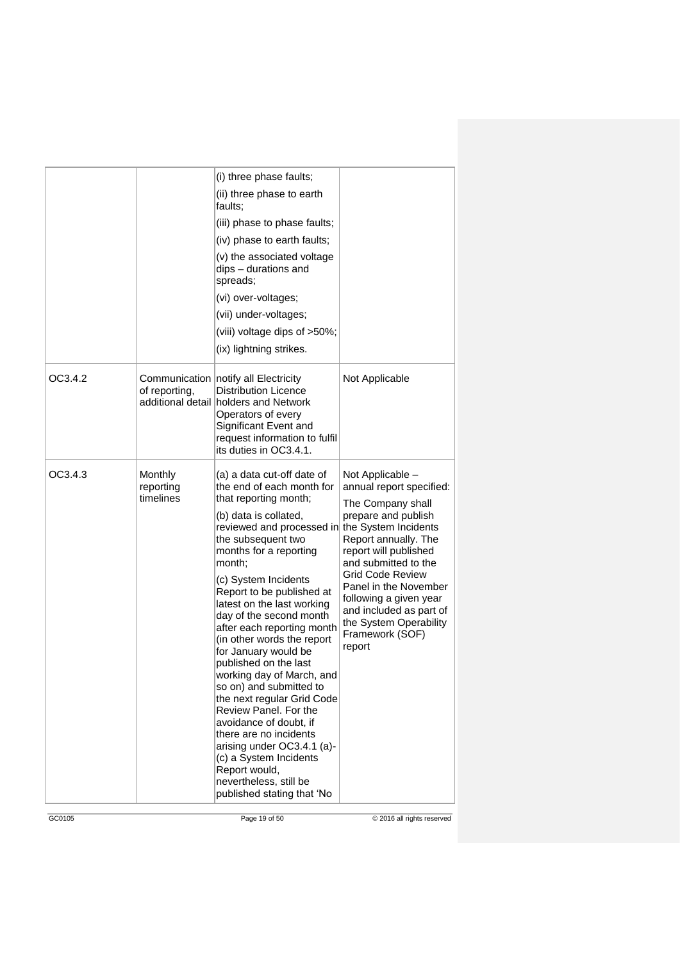|         |                                   | (i) three phase faults;                                                                                                                                                                                                                                                                                                                                                                                                  |                                                                                                                                                       |
|---------|-----------------------------------|--------------------------------------------------------------------------------------------------------------------------------------------------------------------------------------------------------------------------------------------------------------------------------------------------------------------------------------------------------------------------------------------------------------------------|-------------------------------------------------------------------------------------------------------------------------------------------------------|
|         |                                   | (ii) three phase to earth<br>faults:                                                                                                                                                                                                                                                                                                                                                                                     |                                                                                                                                                       |
|         |                                   | (iii) phase to phase faults;                                                                                                                                                                                                                                                                                                                                                                                             |                                                                                                                                                       |
|         |                                   | (iv) phase to earth faults;                                                                                                                                                                                                                                                                                                                                                                                              |                                                                                                                                                       |
|         |                                   | (v) the associated voltage<br>dips - durations and<br>spreads;                                                                                                                                                                                                                                                                                                                                                           |                                                                                                                                                       |
|         |                                   | (vi) over-voltages;                                                                                                                                                                                                                                                                                                                                                                                                      |                                                                                                                                                       |
|         |                                   | (vii) under-voltages;                                                                                                                                                                                                                                                                                                                                                                                                    |                                                                                                                                                       |
|         |                                   | (viii) voltage dips of >50%;                                                                                                                                                                                                                                                                                                                                                                                             |                                                                                                                                                       |
|         |                                   | (ix) lightning strikes.                                                                                                                                                                                                                                                                                                                                                                                                  |                                                                                                                                                       |
| OC3.4.2 | of reporting,                     | Communication notify all Electricity<br><b>Distribution Licence</b><br>additional detail holders and Network<br>Operators of every<br>Significant Event and<br>request information to fulfil<br>its duties in OC3.4.1.                                                                                                                                                                                                   | Not Applicable                                                                                                                                        |
| OC3.4.3 | Monthly<br>reporting<br>timelines | (a) a data cut-off date of<br>the end of each month for<br>that reporting month;                                                                                                                                                                                                                                                                                                                                         | Not Applicable -<br>annual report specified:<br>The Company shall                                                                                     |
|         |                                   | (b) data is collated,<br>reviewed and processed in<br>the subsequent two<br>months for a reporting<br>month;                                                                                                                                                                                                                                                                                                             | prepare and publish<br>the System Incidents<br>Report annually. The<br>report will published<br>and submitted to the                                  |
|         |                                   | (c) System Incidents<br>Report to be published at<br>latest on the last working<br>day of the second month<br>after each reporting month<br>(in other words the report<br>for January would be<br>published on the last<br>working day of March, and<br>so on) and submitted to<br>the next regular Grid Code<br>Review Panel. For the<br>avoidance of doubt, if<br>there are no incidents<br>arising under OC3.4.1 (a)- | Grid Code Review<br>Panel in the November<br>following a given year<br>and included as part of<br>the System Operability<br>Framework (SOF)<br>report |
|         |                                   | (c) a System Incidents<br>Report would,<br>nevertheless, still be<br>published stating that 'No                                                                                                                                                                                                                                                                                                                          |                                                                                                                                                       |

GC0105 Page 19 of 50 © 2016 all rights reserved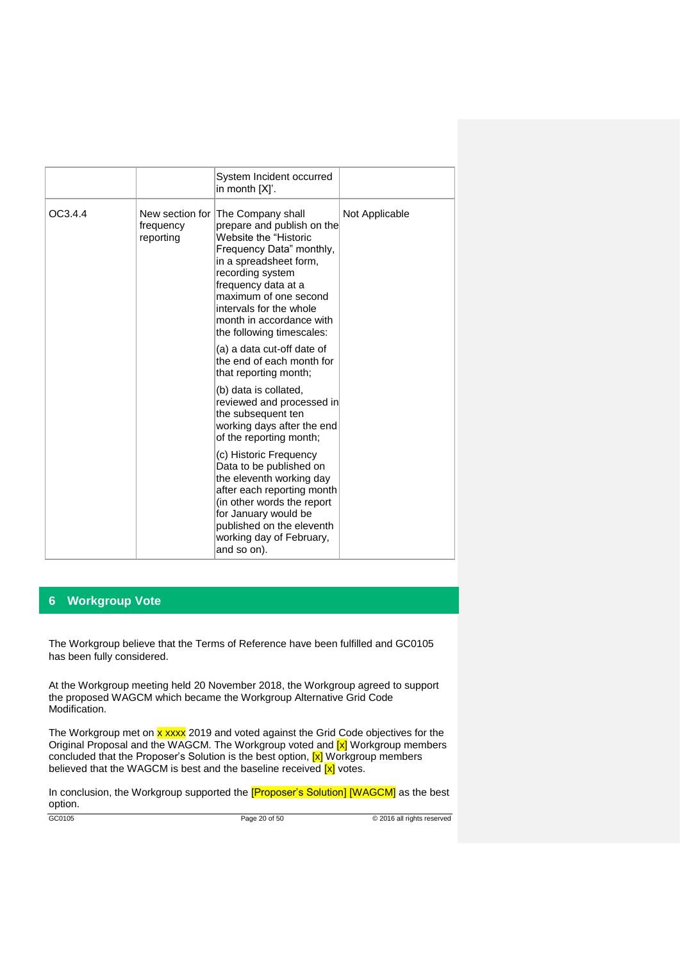|         |                        | System Incident occurred<br>in month [X]'.                                                                                                                                                                                                                                                             |                |
|---------|------------------------|--------------------------------------------------------------------------------------------------------------------------------------------------------------------------------------------------------------------------------------------------------------------------------------------------------|----------------|
| OC3.4.4 | frequency<br>reporting | New section for The Company shall<br>prepare and publish on the<br>Website the "Historic<br>Frequency Data" monthly,<br>in a spreadsheet form,<br>recording system<br>frequency data at a<br>maximum of one second<br>intervals for the whole<br>month in accordance with<br>the following timescales: | Not Applicable |
|         |                        | (a) a data cut-off date of<br>the end of each month for<br>that reporting month;                                                                                                                                                                                                                       |                |
|         |                        | (b) data is collated,<br>reviewed and processed in<br>the subsequent ten<br>working days after the end<br>of the reporting month;                                                                                                                                                                      |                |
|         |                        | (c) Historic Frequency<br>Data to be published on<br>the eleventh working day<br>after each reporting month<br>(in other words the report<br>for January would be<br>published on the eleventh<br>working day of February,<br>and so on).                                                              |                |

## **6 Workgroup Vote**

The Workgroup believe that the Terms of Reference have been fulfilled and GC0105 has been fully considered.

At the Workgroup meeting held 20 November 2018, the Workgroup agreed to support the proposed WAGCM which became the Workgroup Alternative Grid Code Modification.

The Workgroup met on x xxxx 2019 and voted against the Grid Code objectives for the Original Proposal and the WAGCM. The Workgroup voted and  $\overline{x}$  Workgroup members concluded that the Proposer's Solution is the best option, [x] Workgroup members believed that the WAGCM is best and the baseline received  $\boxed{\text{x}}$  votes.

In conclusion, the Workgroup supported the [Proposer's Solution] [WAGCM] as the best option.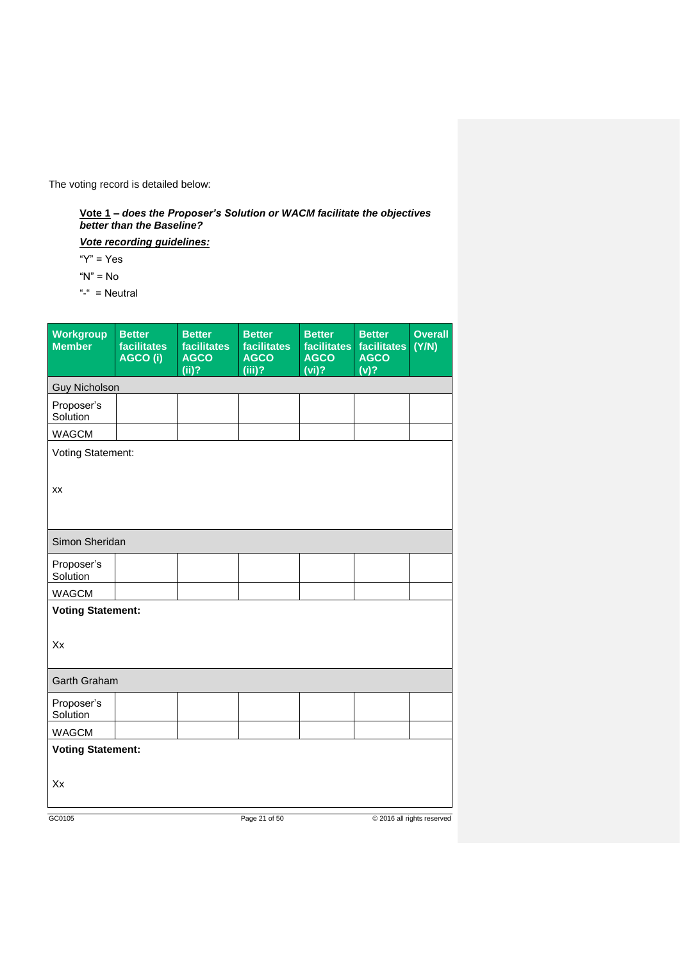The voting record is detailed below:

**Vote 1** *– does the Proposer's Solution or WACM facilitate the objectives better than the Baseline?*

*Vote recording guidelines:*

" $Y$ " = Yes

" $N$ " = No

"-" = Neutral

| Workgroup<br><b>Member</b>     | <b>Better</b><br><b>facilitates</b><br>AGCO (i) | <b>Better</b><br><b>facilitates</b><br><b>AGCO</b><br>(ii)? | <b>Better</b><br><b>facilitates</b><br><b>AGCO</b><br>$(iii)$ ? | <b>Better</b><br>facilitates<br><b>AGCO</b><br>$(vi)$ ? | <b>Better</b><br><b>facilitates</b><br><b>AGCO</b><br>$\overline{(v)^2}$ | <b>Overall</b><br>(Y/N)    |
|--------------------------------|-------------------------------------------------|-------------------------------------------------------------|-----------------------------------------------------------------|---------------------------------------------------------|--------------------------------------------------------------------------|----------------------------|
| <b>Guy Nicholson</b>           |                                                 |                                                             |                                                                 |                                                         |                                                                          |                            |
| Proposer's<br>Solution         |                                                 |                                                             |                                                                 |                                                         |                                                                          |                            |
| <b>WAGCM</b>                   |                                                 |                                                             |                                                                 |                                                         |                                                                          |                            |
| Voting Statement:<br>XX        |                                                 |                                                             |                                                                 |                                                         |                                                                          |                            |
| Simon Sheridan                 |                                                 |                                                             |                                                                 |                                                         |                                                                          |                            |
| Proposer's<br>Solution         |                                                 |                                                             |                                                                 |                                                         |                                                                          |                            |
| <b>WAGCM</b>                   |                                                 |                                                             |                                                                 |                                                         |                                                                          |                            |
| <b>Voting Statement:</b><br>Xx |                                                 |                                                             |                                                                 |                                                         |                                                                          |                            |
| <b>Garth Graham</b>            |                                                 |                                                             |                                                                 |                                                         |                                                                          |                            |
| Proposer's<br>Solution         |                                                 |                                                             |                                                                 |                                                         |                                                                          |                            |
| <b>WAGCM</b>                   |                                                 |                                                             |                                                                 |                                                         |                                                                          |                            |
| <b>Voting Statement:</b><br>Xx |                                                 |                                                             |                                                                 |                                                         |                                                                          |                            |
| GC0105                         |                                                 |                                                             | Page 21 of 50                                                   |                                                         |                                                                          | © 2016 all rights reserved |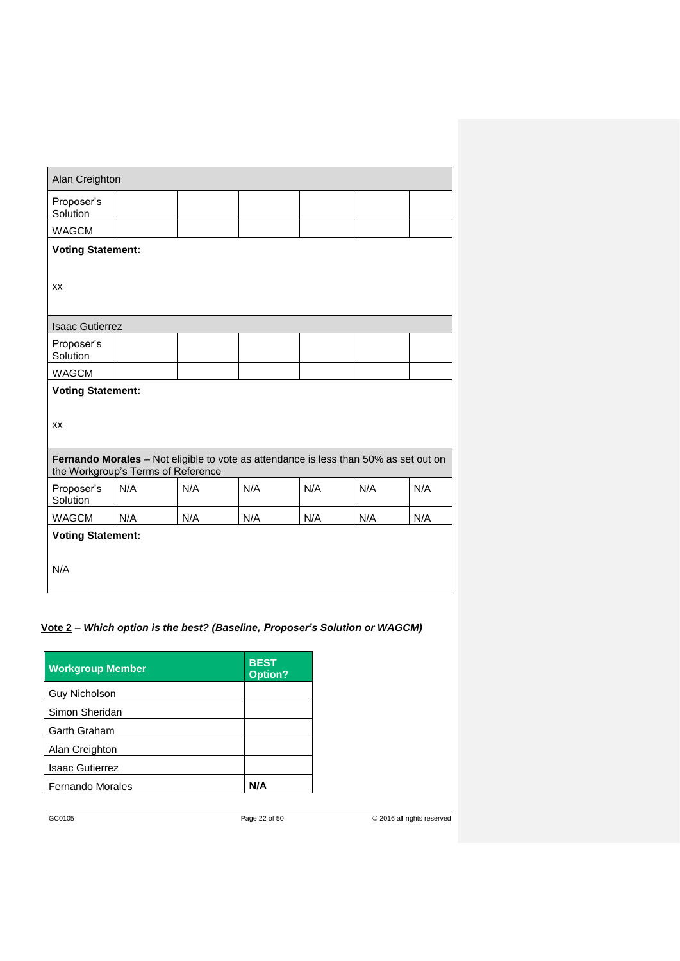| Alan Creighton                                                                                                             |                          |     |     |     |     |     |
|----------------------------------------------------------------------------------------------------------------------------|--------------------------|-----|-----|-----|-----|-----|
| Proposer's<br>Solution                                                                                                     |                          |     |     |     |     |     |
| <b>WAGCM</b>                                                                                                               |                          |     |     |     |     |     |
| <b>Voting Statement:</b>                                                                                                   |                          |     |     |     |     |     |
|                                                                                                                            |                          |     |     |     |     |     |
| XX                                                                                                                         |                          |     |     |     |     |     |
|                                                                                                                            |                          |     |     |     |     |     |
| <b>Isaac Gutierrez</b>                                                                                                     |                          |     |     |     |     |     |
| Proposer's<br>Solution                                                                                                     |                          |     |     |     |     |     |
| <b>WAGCM</b>                                                                                                               |                          |     |     |     |     |     |
|                                                                                                                            | <b>Voting Statement:</b> |     |     |     |     |     |
|                                                                                                                            |                          |     |     |     |     |     |
| XX                                                                                                                         |                          |     |     |     |     |     |
|                                                                                                                            |                          |     |     |     |     |     |
| Fernando Morales - Not eligible to vote as attendance is less than 50% as set out on<br>the Workgroup's Terms of Reference |                          |     |     |     |     |     |
| Proposer's<br>Solution                                                                                                     | N/A                      | N/A | N/A | N/A | N/A | N/A |
| <b>WAGCM</b>                                                                                                               | N/A                      | N/A | N/A | N/A | N/A | N/A |
| <b>Voting Statement:</b>                                                                                                   |                          |     |     |     |     |     |
|                                                                                                                            |                          |     |     |     |     |     |
| N/A                                                                                                                        |                          |     |     |     |     |     |
|                                                                                                                            |                          |     |     |     |     |     |

## **Vote 2 –** *Which option is the best? (Baseline, Proposer's Solution or WAGCM)*

| <b>Workgroup Member</b> | <b>BEST</b><br><b>Option?</b> |
|-------------------------|-------------------------------|
| Guy Nicholson           |                               |
| Simon Sheridan          |                               |
| Garth Graham            |                               |
| Alan Creighton          |                               |
| <b>Isaac Gutierrez</b>  |                               |
| <b>Fernando Morales</b> | N/A                           |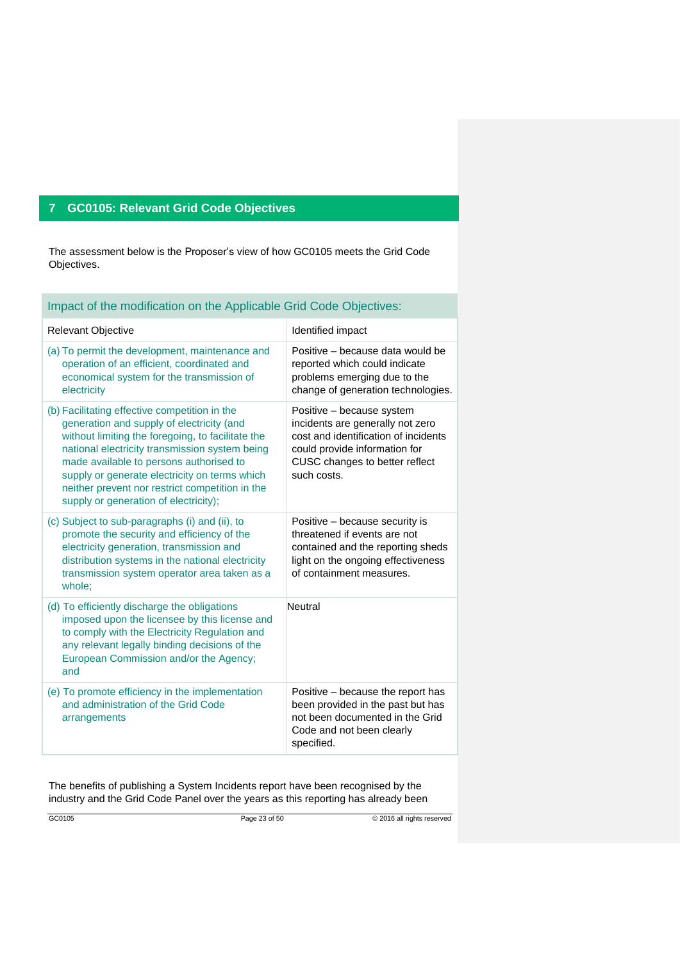## **7 GC0105: Relevant Grid Code Objectives**

The assessment below is the Proposer's view of how GC0105 meets the Grid Code Objectives.

| Impact of the modification on the Applicable Grid Code Objectives:                                                                                                                                                                                                                                                                                                                        |                                                                                                                                                                                         |  |  |  |  |
|-------------------------------------------------------------------------------------------------------------------------------------------------------------------------------------------------------------------------------------------------------------------------------------------------------------------------------------------------------------------------------------------|-----------------------------------------------------------------------------------------------------------------------------------------------------------------------------------------|--|--|--|--|
| Relevant Objective                                                                                                                                                                                                                                                                                                                                                                        | Identified impact                                                                                                                                                                       |  |  |  |  |
| (a) To permit the development, maintenance and<br>operation of an efficient, coordinated and<br>economical system for the transmission of<br>electricity                                                                                                                                                                                                                                  | Positive – because data would be<br>reported which could indicate<br>problems emerging due to the<br>change of generation technologies.                                                 |  |  |  |  |
| (b) Facilitating effective competition in the<br>generation and supply of electricity (and<br>without limiting the foregoing, to facilitate the<br>national electricity transmission system being<br>made available to persons authorised to<br>supply or generate electricity on terms which<br>neither prevent nor restrict competition in the<br>supply or generation of electricity); | Positive - because system<br>incidents are generally not zero<br>cost and identification of incidents<br>could provide information for<br>CUSC changes to better reflect<br>such costs. |  |  |  |  |
| (c) Subject to sub-paragraphs (i) and (ii), to<br>promote the security and efficiency of the<br>electricity generation, transmission and<br>distribution systems in the national electricity<br>transmission system operator area taken as a<br>whole;                                                                                                                                    | Positive – because security is<br>threatened if events are not<br>contained and the reporting sheds<br>light on the ongoing effectiveness<br>of containment measures.                   |  |  |  |  |
| (d) To efficiently discharge the obligations<br>imposed upon the licensee by this license and<br>to comply with the Electricity Regulation and<br>any relevant legally binding decisions of the<br>European Commission and/or the Agency;<br>and                                                                                                                                          | Neutral                                                                                                                                                                                 |  |  |  |  |
| (e) To promote efficiency in the implementation<br>and administration of the Grid Code<br>arrangements                                                                                                                                                                                                                                                                                    | Positive – because the report has<br>been provided in the past but has<br>not been documented in the Grid<br>Code and not been clearly<br>specified.                                    |  |  |  |  |

The benefits of publishing a System Incidents report have been recognised by the industry and the Grid Code Panel over the years as this reporting has already been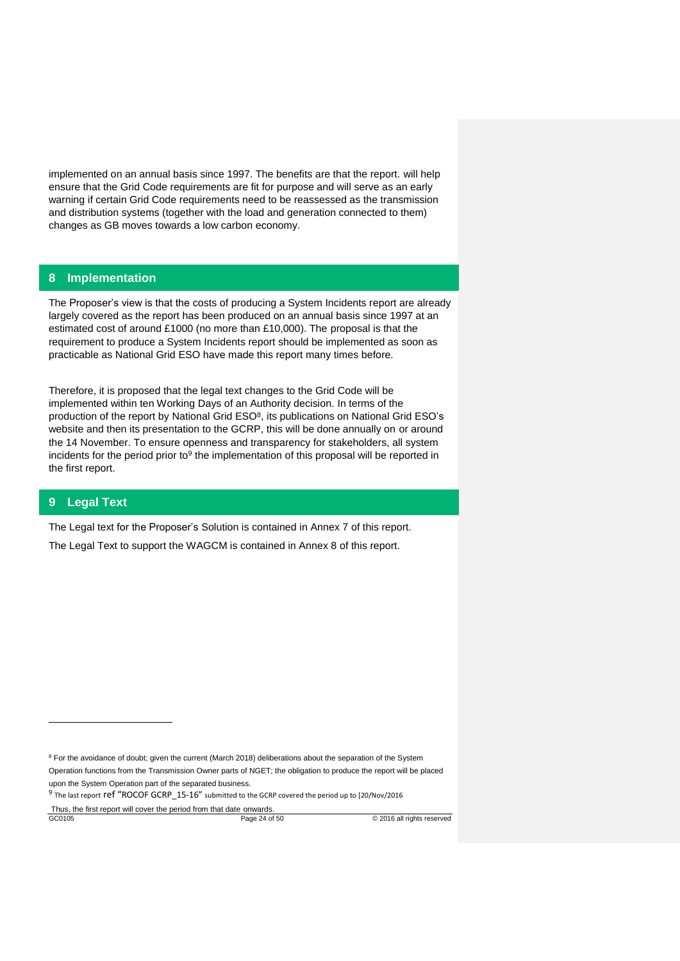implemented on an annual basis since 1997. The benefits are that the report. will help ensure that the Grid Code requirements are fit for purpose and will serve as an early warning if certain Grid Code requirements need to be reassessed as the transmission and distribution systems (together with the load and generation connected to them) changes as GB moves towards a low carbon economy.

## **8 Implementation**

The Proposer's view is that the costs of producing a System Incidents report are already largely covered as the report has been produced on an annual basis since 1997 at an estimated cost of around £1000 (no more than £10,000). The proposal is that the requirement to produce a System Incidents report should be implemented as soon as practicable as National Grid ESO have made this report many times before.

Therefore, it is proposed that the legal text changes to the Grid Code will be implemented within ten Working Days of an Authority decision. In terms of the production of the report by National Grid  $ESO<sup>8</sup>$ , its publications on National Grid ESO's website and then its presentation to the GCRP, this will be done annually on or around the 14 November. To ensure openness and transparency for stakeholders, all system incidents for the period prior to<sup>9</sup> the implementation of this proposal will be reported in the first report.

## **9 Legal Text**

-

The Legal text for the Proposer's Solution is contained in Annex 7 of this report.

The Legal Text to support the WAGCM is contained in Annex 8 of this report.

<sup>&</sup>lt;sup>8</sup> For the avoidance of doubt; given the current (March 2018) deliberations about the separation of the System

Operation functions from the Transmission Owner parts of NGET; the obligation to produce the report will be placed upon the System Operation part of the separated business.

 $9$  The last report **ref** "ROCOF GCRP\_15-16" submitted to the GCRP covered the period up to [20/Nov/2016

GC0105 **Page 24 of 50 CO105 Page 24 of 50 CO105 CO105 Page 24 of 50 CO105 Page 24 of 50 CO105 Page 24 of 50 CO105 Page 24 of 50 CO105 Page 24 of 50 CO105 Page 24 of 50 CO105 Page 24 of 50** Thus, the first report will cover the period from that date onwards.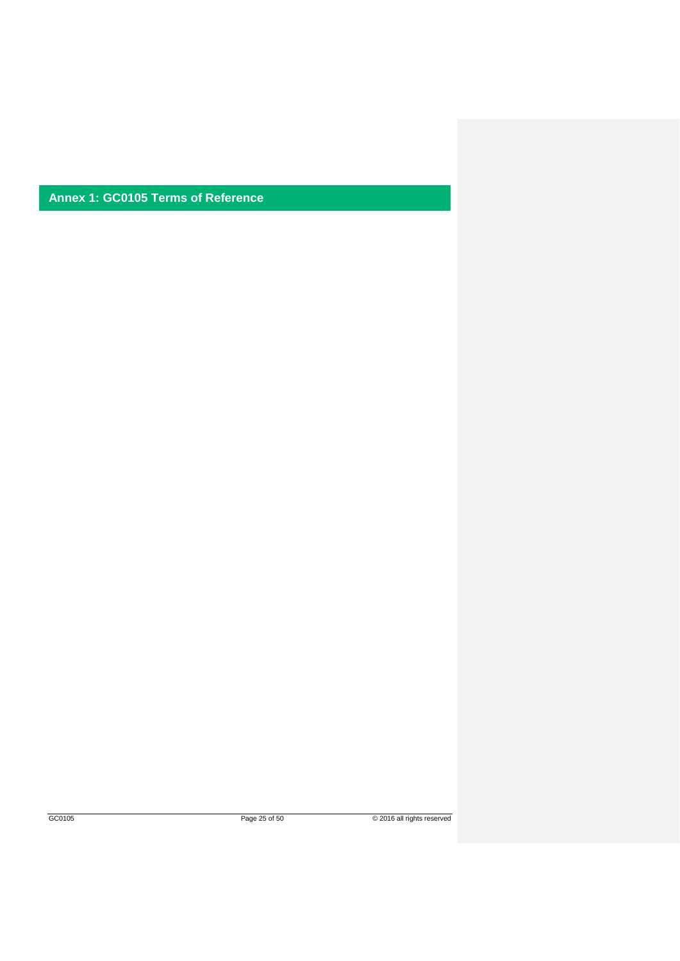**Annex 1: GC0105 Terms of Reference**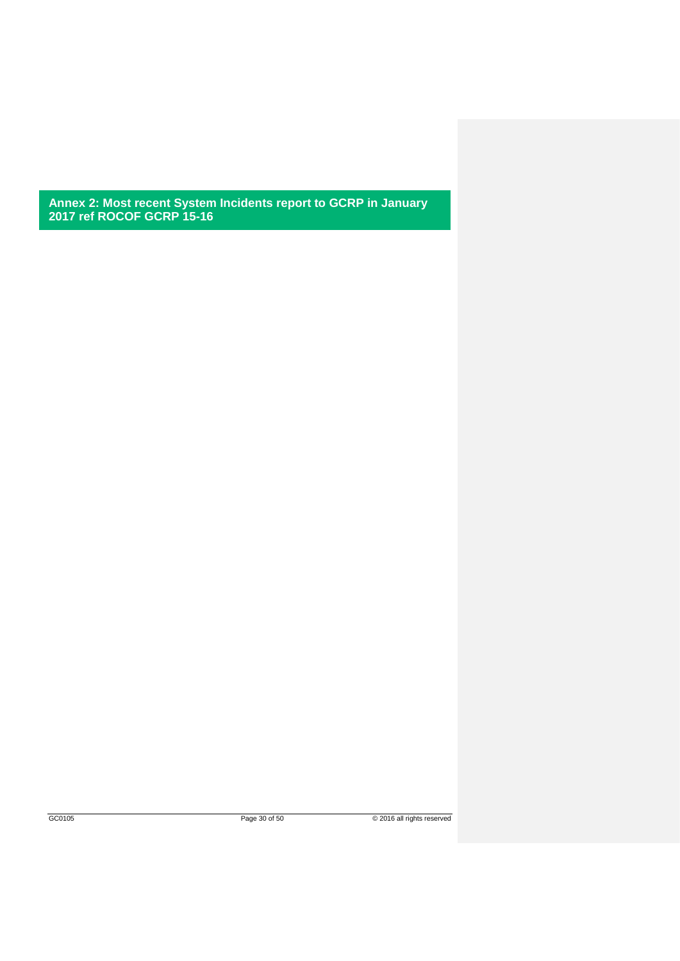**Annex 2: Most recent System Incidents report to GCRP in January 2017 ref ROCOF GCRP 15-16**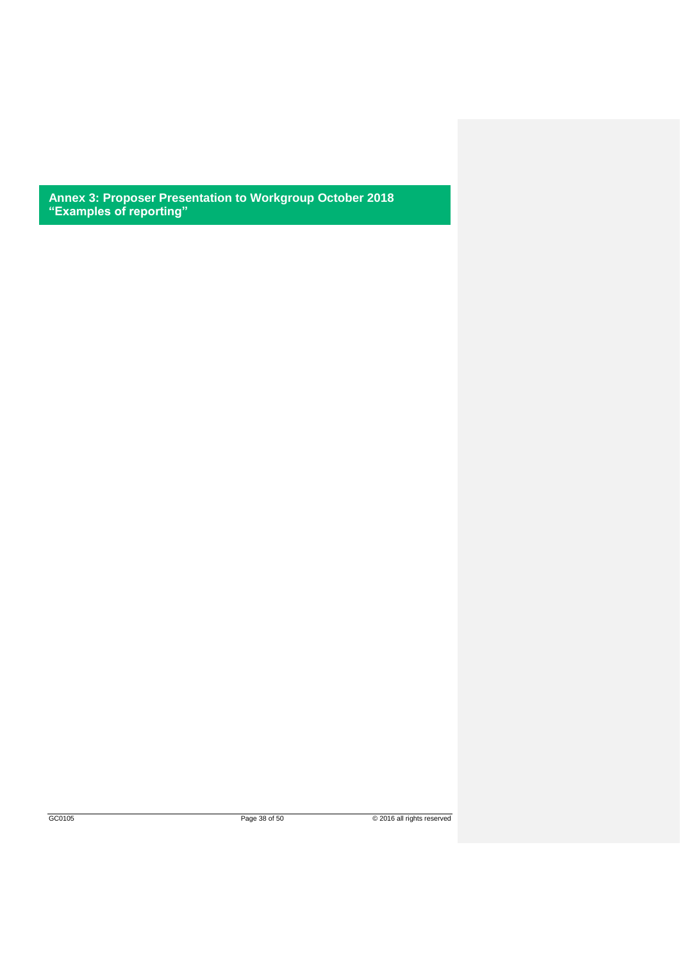**Annex 3: Proposer Presentation to Workgroup October 2018 "Examples of reporting"**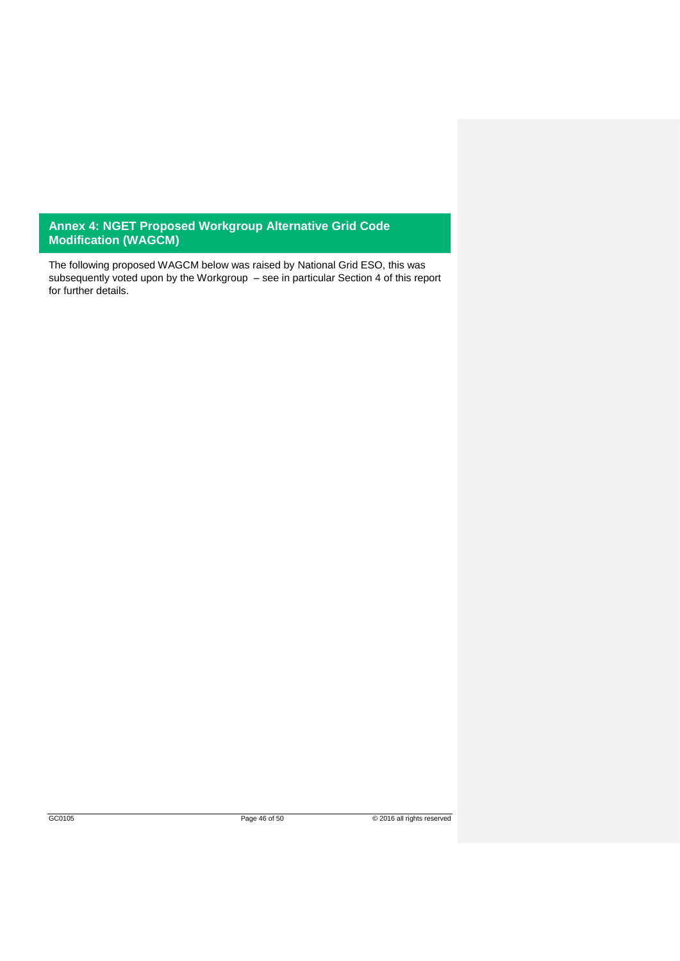## **Annex 4: NGET Proposed Workgroup Alternative Grid Code Modification (WAGCM)**

The following proposed WAGCM below was raised by National Grid ESO, this was subsequently voted upon by the Workgroup – see in particular Section 4 of this report for further details.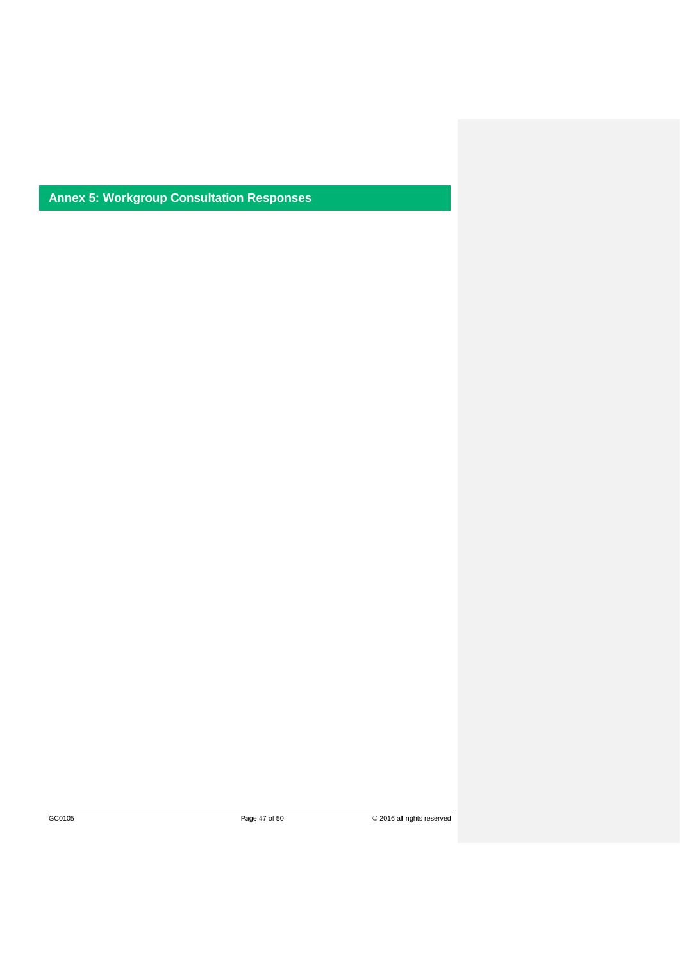**Annex 5: Workgroup Consultation Responses**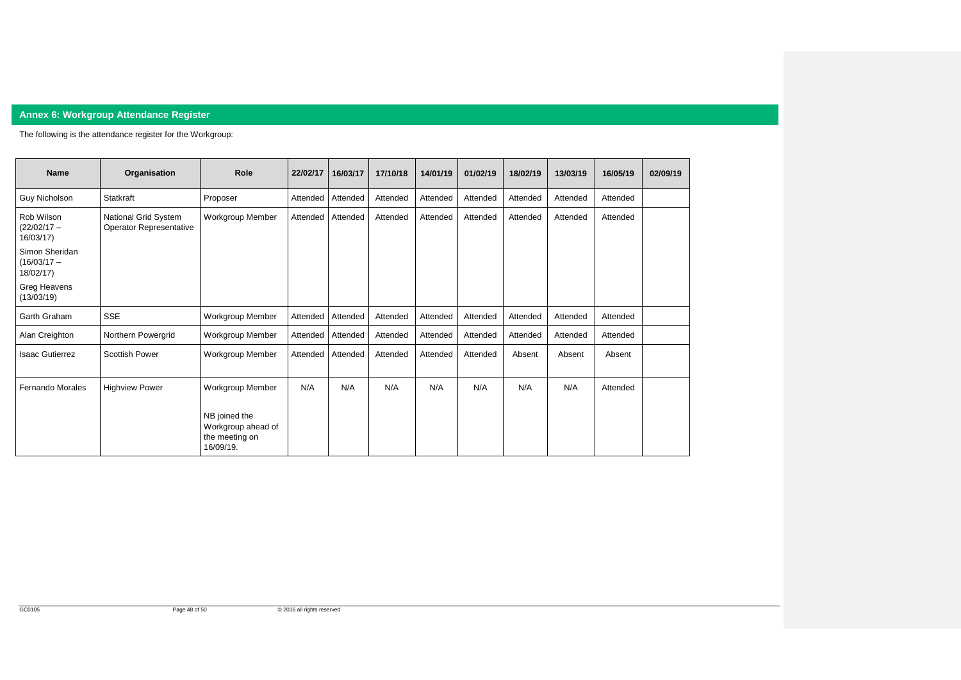

# **Annex 6: Workgroup Attendance Register**

The following is the attendance register for the Workgroup:

| <b>Name</b>                                  | Organisation                                           | <b>Role</b>                                                        | 22/02/17 | 16/03/17 | 17/10/18 | 14/01/19 | 01/02/19 | 18/02/19 | 13/03/19 | 16/05/19 | 02/09/19 |
|----------------------------------------------|--------------------------------------------------------|--------------------------------------------------------------------|----------|----------|----------|----------|----------|----------|----------|----------|----------|
| <b>Guy Nicholson</b>                         | <b>Statkraft</b>                                       | Proposer                                                           | Attended | Attended | Attended | Attended | Attended | Attended | Attended | Attended |          |
| Rob Wilson<br>$(22/02/17 -$<br>16/03/17      | National Grid System<br><b>Operator Representative</b> | <b>Workgroup Member</b>                                            | Attended | Attended | Attended | Attended | Attended | Attended | Attended | Attended |          |
| Simon Sheridan<br>$(16/03/17 -$<br>18/02/17) |                                                        |                                                                    |          |          |          |          |          |          |          |          |          |
| Greg Heavens<br>(13/03/19)                   |                                                        |                                                                    |          |          |          |          |          |          |          |          |          |
| Garth Graham                                 | <b>SSE</b>                                             | Workgroup Member                                                   | Attended | Attended | Attended | Attended | Attended | Attended | Attended | Attended |          |
| Alan Creighton                               | Northern Powergrid                                     | Workgroup Member                                                   | Attended | Attended | Attended | Attended | Attended | Attended | Attended | Attended |          |
| <b>Isaac Gutierrez</b>                       | <b>Scottish Power</b>                                  | <b>Workgroup Member</b>                                            | Attended | Attended | Attended | Attended | Attended | Absent   | Absent   | Absent   |          |
| Fernando Morales                             | <b>Highview Power</b>                                  | <b>Workgroup Member</b>                                            | N/A      | N/A      | N/A      | N/A      | N/A      | N/A      | N/A      | Attended |          |
|                                              |                                                        | NB joined the<br>Workgroup ahead of<br>the meeting on<br>16/09/19. |          |          |          |          |          |          |          |          |          |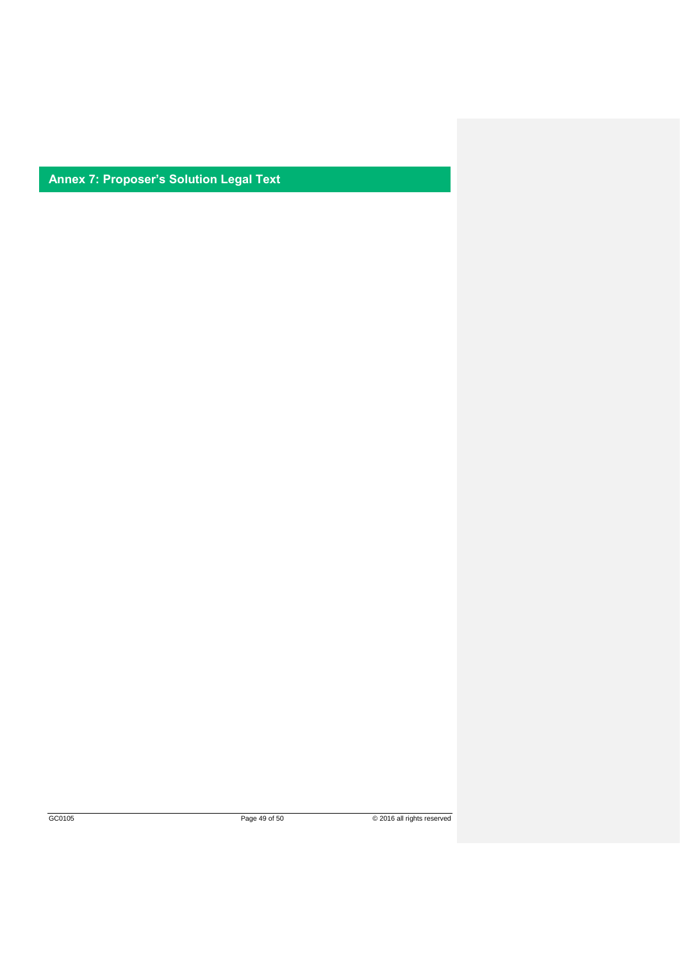**Annex 7: Proposer's Solution Legal Text**